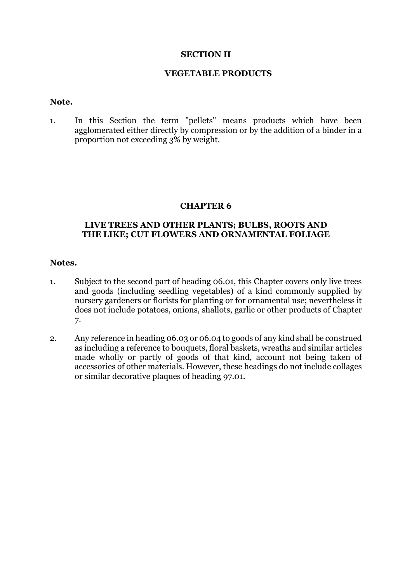#### **SECTION II**

#### **VEGETABLE PRODUCTS**

#### **Note.**

1. In this Section the term "pellets" means products which have been agglomerated either directly by compression or by the addition of a binder in a proportion not exceeding 3% by weight.

#### **CHAPTER 6**

### **LIVE TREES AND OTHER PLANTS; BULBS, ROOTS AND THE LIKE; CUT FLOWERS AND ORNAMENTAL FOLIAGE**

- 1. Subject to the second part of heading 06.01, this Chapter covers only live trees and goods (including seedling vegetables) of a kind commonly supplied by nursery gardeners or florists for planting or for ornamental use; nevertheless it does not include potatoes, onions, shallots, garlic or other products of Chapter 7.
- 2. Any reference in heading 06.03 or 06.04 to goods of any kind shall be construed as including a reference to bouquets, floral baskets, wreaths and similar articles made wholly or partly of goods of that kind, account not being taken of accessories of other materials. However, these headings do not include collages or similar decorative plaques of heading 97.01.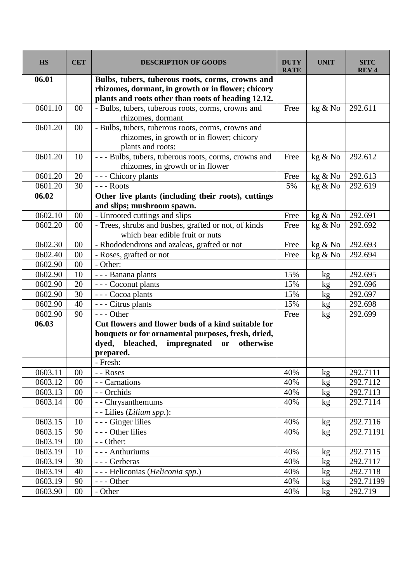| <b>HS</b> | <b>CET</b> | <b>DESCRIPTION OF GOODS</b>                                                                                                                                   | <b>DUTY</b><br><b>RATE</b> | <b>UNIT</b> | <b>SITC</b><br><b>REV4</b> |
|-----------|------------|---------------------------------------------------------------------------------------------------------------------------------------------------------------|----------------------------|-------------|----------------------------|
| 06.01     |            | Bulbs, tubers, tuberous roots, corms, crowns and<br>rhizomes, dormant, in growth or in flower; chicory<br>plants and roots other than roots of heading 12.12. |                            |             |                            |
| 0601.10   | 00         | - Bulbs, tubers, tuberous roots, corms, crowns and<br>rhizomes, dormant                                                                                       | Free                       | kg & No     | 292.611                    |
| 0601.20   | 00         | - Bulbs, tubers, tuberous roots, corms, crowns and<br>rhizomes, in growth or in flower; chicory<br>plants and roots:                                          |                            |             |                            |
| 0601.20   | 10         | --- Bulbs, tubers, tuberous roots, corms, crowns and<br>rhizomes, in growth or in flower                                                                      | Free                       | kg & No     | 292.612                    |
| 0601.20   | 20         | - - - Chicory plants                                                                                                                                          | Free                       | kg & No     | 292.613                    |
| 0601.20   | 30         | $--$ Roots                                                                                                                                                    | 5%                         | kg & No     | 292.619                    |
| 06.02     |            | Other live plants (including their roots), cuttings                                                                                                           |                            |             |                            |
|           |            | and slips; mushroom spawn.                                                                                                                                    |                            |             |                            |
| 0602.10   | 00         | - Unrooted cuttings and slips                                                                                                                                 | Free                       | kg & No     | 292.691                    |
| 0602.20   | 00         | - Trees, shrubs and bushes, grafted or not, of kinds<br>which bear edible fruit or nuts                                                                       | Free                       | kg & No     | 292.692                    |
| 0602.30   | 00         | - Rhododendrons and azaleas, grafted or not                                                                                                                   | Free                       | kg & No     | 292.693                    |
| 0602.40   | 00         | - Roses, grafted or not                                                                                                                                       | Free                       | kg & No     | 292.694                    |
| 0602.90   | 00         | - Other:                                                                                                                                                      |                            |             |                            |
| 0602.90   | 10         | - - - Banana plants                                                                                                                                           | 15%                        | kg          | 292.695                    |
| 0602.90   | 20         | - - - Coconut plants                                                                                                                                          | 15%                        | kg          | 292.696                    |
| 0602.90   | 30         | - - - Cocoa plants                                                                                                                                            | 15%                        | kg          | 292.697                    |
| 0602.90   | 40         | - - - Citrus plants                                                                                                                                           | 15%                        | kg          | 292.698                    |
| 0602.90   | 90         | $--$ Other                                                                                                                                                    | Free                       | kg          | 292.699                    |
| 06.03     |            | Cut flowers and flower buds of a kind suitable for                                                                                                            |                            |             |                            |
|           |            | bouquets or for ornamental purposes, fresh, dried,<br>dyed,<br>bleached,<br>impregnated<br>otherwise<br><b>or</b>                                             |                            |             |                            |
|           |            | prepared.                                                                                                                                                     |                            |             |                            |
|           |            | - Fresh:                                                                                                                                                      |                            |             |                            |
| 0603.11   | 00         | - - Roses                                                                                                                                                     | 40%                        | kg          | 292.7111                   |
| 0603.12   | $00\,$     | - - Carnations                                                                                                                                                | 40%                        | kg          | 292.7112                   |
| 0603.13   | $00\,$     | - - Orchids                                                                                                                                                   | 40%                        | kg          | 292.7113                   |
| 0603.14   | 00         | - - Chrysanthemums                                                                                                                                            | 40%                        | kg          | 292.7114                   |
|           |            | - - Lilies (Lilium spp.):                                                                                                                                     |                            |             |                            |
| 0603.15   | 10         | - - - Ginger lilies                                                                                                                                           | 40%                        | kg          | 292.7116                   |
| 0603.15   | 90         | - - - Other lilies                                                                                                                                            | 40%                        | kg          | 292.71191                  |
| 0603.19   | $00\,$     | - - Other:                                                                                                                                                    |                            |             |                            |
| 0603.19   | 10         | - - - Anthuriums                                                                                                                                              | 40%                        | kg          | 292.7115                   |
| 0603.19   | 30         | --- Gerberas                                                                                                                                                  | 40%                        | kg          | 292.7117                   |
| 0603.19   | 40         | - - - Heliconias (Heliconia spp.)                                                                                                                             | 40%                        | kg          | 292.7118                   |
| 0603.19   | 90         | $--$ Other                                                                                                                                                    | 40%                        | kg          | 292.71199                  |
| 0603.90   | $00\,$     | - Other                                                                                                                                                       | 40%                        | kg          | 292.719                    |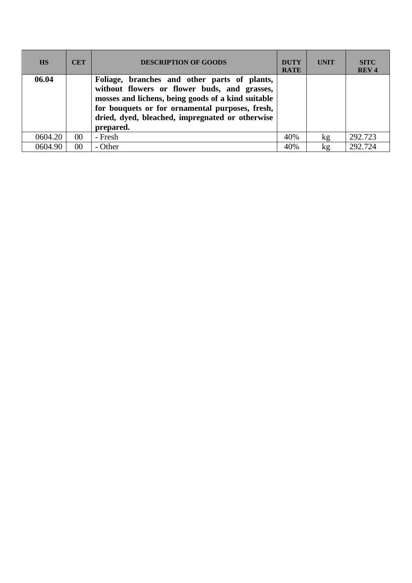| <b>HS</b> | <b>CET</b> | <b>DESCRIPTION OF GOODS</b>                                                                                                                                                                                                                                           | <b>DUTY</b><br><b>RATE</b> | <b>UNIT</b> | <b>SITC</b><br><b>REV4</b> |
|-----------|------------|-----------------------------------------------------------------------------------------------------------------------------------------------------------------------------------------------------------------------------------------------------------------------|----------------------------|-------------|----------------------------|
| 06.04     |            | Foliage, branches and other parts of plants,<br>without flowers or flower buds, and grasses,<br>mosses and lichens, being goods of a kind suitable<br>for bouquets or for ornamental purposes, fresh,<br>dried, dyed, bleached, impregnated or otherwise<br>prepared. |                            |             |                            |
| 0604.20   | $00\,$     | - Fresh                                                                                                                                                                                                                                                               | 40%                        | kg          | 292.723                    |
| 0604.90   | $00\,$     | - Other                                                                                                                                                                                                                                                               | 40%                        | kg          | 292.724                    |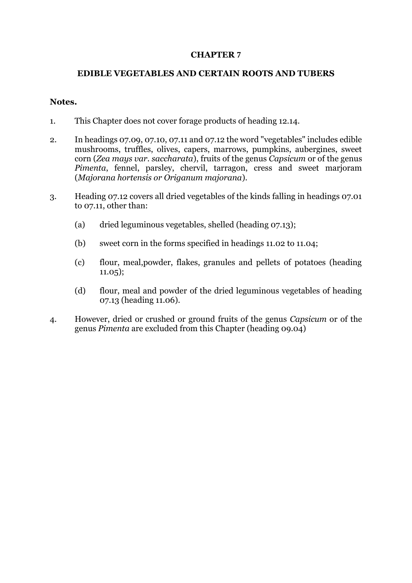# **EDIBLE VEGETABLES AND CERTAIN ROOTS AND TUBERS**

- 1. This Chapter does not cover forage products of heading 12.14.
- 2. In headings 07.09, 07.10, 07.11 and 07.12 the word "vegetables" includes edible mushrooms, truffles, olives, capers, marrows, pumpkins, aubergines, sweet corn (*Zea mays var. saccharata*), fruits of the genus *Capsicum* or of the genus *Pimenta*, fennel, parsley, chervil, tarragon, cress and sweet marjoram (*Majorana hortensis or Origanum majorana*).
- 3. Heading 07.12 covers all dried vegetables of the kinds falling in headings 07.01 to 07.11, other than:
	- (a) dried leguminous vegetables, shelled (heading 07.13);
	- (b) sweet corn in the forms specified in headings 11.02 to 11.04;
	- (c) flour, meal,powder, flakes, granules and pellets of potatoes (heading 11.05);
	- (d) flour, meal and powder of the dried leguminous vegetables of heading 07.13 (heading 11.06).
- 4. However, dried or crushed or ground fruits of the genus *Capsicum* or of the genus *Pimenta* are excluded from this Chapter (heading 09.04)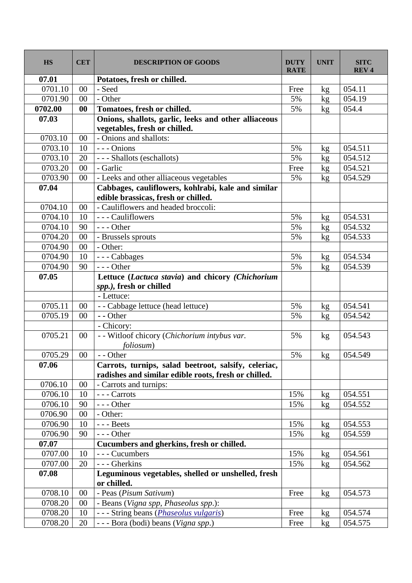| <b>HS</b> | <b>CET</b> | <b>DESCRIPTION OF GOODS</b>                                       | <b>DUTY</b><br><b>RATE</b> | <b>UNIT</b>   | <b>SITC</b><br><b>REV4</b> |
|-----------|------------|-------------------------------------------------------------------|----------------------------|---------------|----------------------------|
| 07.01     |            | Potatoes, fresh or chilled.                                       |                            |               |                            |
| 0701.10   | 00         | - Seed                                                            | Free                       | kg            | 054.11                     |
| 0701.90   | 00         | - Other                                                           | 5%                         | kg            | 054.19                     |
| 0702.00   | 00         | Tomatoes, fresh or chilled.                                       | 5%                         | kg            | 054.4                      |
| 07.03     |            | Onions, shallots, garlic, leeks and other alliaceous              |                            |               |                            |
|           |            | vegetables, fresh or chilled.                                     |                            |               |                            |
| 0703.10   | 00         | - Onions and shallots:                                            |                            |               |                            |
| 0703.10   | 10         | --- Onions                                                        | 5%                         | kg            | 054.511                    |
| 0703.10   | 20         | --- Shallots (eschallots)                                         | 5%                         | kg            | 054.512                    |
| 0703.20   | 00         | - Garlic                                                          | Free                       | kg            | 054.521                    |
| 0703.90   | 00         | - Leeks and other alliaceous vegetables                           | 5%                         | kg            | 054.529                    |
| 07.04     |            | Cabbages, cauliflowers, kohlrabi, kale and similar                |                            |               |                            |
|           |            | edible brassicas, fresh or chilled.                               |                            |               |                            |
| 0704.10   | 00         | - Cauliflowers and headed broccoli:                               |                            |               |                            |
| 0704.10   | 10         | --- Cauliflowers                                                  | 5%                         | kg            | 054.531                    |
| 0704.10   | 90         | $--$ Other                                                        | 5%                         | kg            | 054.532                    |
| 0704.20   | 00         | - Brussels sprouts                                                | 5%                         | $\mathrm{kg}$ | 054.533                    |
| 0704.90   | 00         | - Other:                                                          |                            |               |                            |
| 0704.90   | 10         | --- Cabbages                                                      | 5%                         | kg            | 054.534                    |
| 0704.90   | 90         | --- Other                                                         | 5%                         | kg            | 054.539                    |
| 07.05     |            | Lettuce (Lactuca stavia) and chicory (Chichorium                  |                            |               |                            |
|           |            | spp.), fresh or chilled                                           |                            |               |                            |
|           |            | - Lettuce:                                                        |                            |               |                            |
| 0705.11   | 00         | - - Cabbage lettuce (head lettuce)                                | 5%                         | kg            | 054.541                    |
| 0705.19   | 00         | - - Other                                                         | 5%                         | kg            | 054.542                    |
|           |            | - Chicory:                                                        |                            |               |                            |
| 0705.21   | 00         | - - Witloof chicory (Chichorium intybus var.<br><i>foliosum</i> ) | 5%                         | kg            | 054.543                    |
| 0705.29   | 00         | - - Other                                                         | 5%                         | kg            | 054.549                    |
| 07.06     |            | Carrots, turnips, salad beetroot, salsify, celeriac,              |                            |               |                            |
|           |            | radishes and similar edible roots, fresh or chilled.              |                            |               |                            |
| 0706.10   | $00\,$     | - Carrots and turnips:                                            |                            |               |                            |
| 0706.10   | 10         | --- Carrots                                                       | 15%                        | kg            | 054.551                    |
| 0706.10   | 90         | $--$ Other                                                        | 15%                        | kg            | 054.552                    |
| 0706.90   | $00\,$     | - Other:                                                          |                            |               |                            |
| 0706.90   | 10         | $---$ Beets                                                       | 15%                        | kg            | 054.553                    |
| 0706.90   | 90         | $--$ Other                                                        | 15%                        | kg            | 054.559                    |
| 07.07     |            | Cucumbers and gherkins, fresh or chilled.                         |                            |               |                            |
| 0707.00   | 10         | - - - Cucumbers                                                   | 15%                        | kg            | 054.561                    |
| 0707.00   | 20         | - - - Gherkins                                                    | 15%                        | kg            | 054.562                    |
| 07.08     |            | Leguminous vegetables, shelled or unshelled, fresh<br>or chilled. |                            |               |                            |
| 0708.10   | 00         | - Peas (Pisum Sativum)                                            | Free                       | kg            | 054.573                    |
| 0708.20   | 00         | - Beans (Vigna spp, Phaseolus spp.):                              |                            |               |                            |
| 0708.20   | 10         | --- String beans ( <i>Phaseolus vulgaris</i> )                    | Free                       | kg            | 054.574                    |
| 0708.20   | 20         | --- Bora (bodi) beans (Vigna spp.)                                | Free                       | $\mathbf{kg}$ | 054.575                    |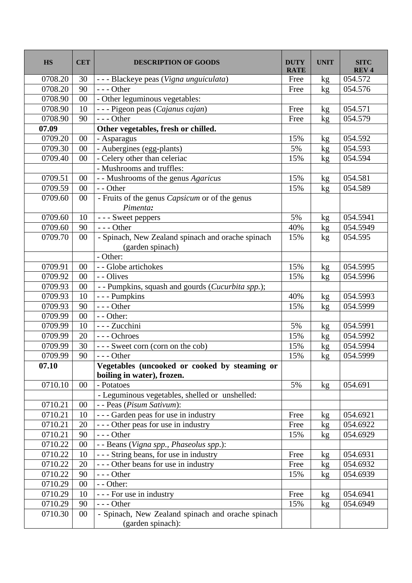| <b>HS</b> | <b>CET</b> | <b>DESCRIPTION OF GOODS</b>                                            | <b>DUTY</b><br><b>RATE</b> | <b>UNIT</b> | <b>SITC</b><br><b>REV4</b> |
|-----------|------------|------------------------------------------------------------------------|----------------------------|-------------|----------------------------|
| 0708.20   | 30         | - - - Blackeye peas (Vigna unguiculata)                                | Free                       | kg          | 054.572                    |
| 0708.20   | 90         | $--$ Other                                                             | Free                       | kg          | 054.576                    |
| 0708.90   | $00\,$     | - Other leguminous vegetables:                                         |                            |             |                            |
| 0708.90   | 10         | - - - Pigeon peas (Cajanus cajan)                                      | Free                       | kg          | 054.571                    |
| 0708.90   | 90         | $--$ Other                                                             | Free                       | kg          | 054.579                    |
| 07.09     |            | Other vegetables, fresh or chilled.                                    |                            |             |                            |
| 0709.20   | 00         | - Asparagus                                                            | 15%                        | kg          | 054.592                    |
| 0709.30   | 00         | - Aubergines (egg-plants)                                              | 5%                         | kg          | 054.593                    |
| 0709.40   | $00\,$     | - Celery other than celeriac                                           | 15%                        | kg          | 054.594                    |
|           |            | - Mushrooms and truffles:                                              |                            |             |                            |
| 0709.51   | 00         | - - Mushrooms of the genus Agaricus                                    | 15%                        | kg          | 054.581                    |
| 0709.59   | 00         | - - Other                                                              | 15%                        | kg          | 054.589                    |
| 0709.60   | 00         | - Fruits of the genus Capsicum or of the genus<br>Pimenta:             |                            |             |                            |
| 0709.60   | 10         | - - - Sweet peppers                                                    | 5%                         | kg          | 054.5941                   |
| 0709.60   | 90         | $--$ Other                                                             | 40%                        | kg          | 054.5949                   |
| 0709.70   | 00         | - Spinach, New Zealand spinach and orache spinach<br>(garden spinach)  | 15%                        | kg          | 054.595                    |
|           |            | - Other:                                                               |                            |             |                            |
| 0709.91   | 00         | - - Globe artichokes                                                   | 15%                        | kg          | 054.5995                   |
| 0709.92   | 00         | - - Olives                                                             | 15%                        | kg          | 054.5996                   |
| 0709.93   | $00\,$     | - - Pumpkins, squash and gourds (Cucurbita spp.);                      |                            |             |                            |
| 0709.93   | 10         | - - - Pumpkins                                                         | 40%                        | kg          | 054.5993                   |
| 0709.93   | 90         | $--$ Other                                                             | 15%                        | kg          | 054.5999                   |
| 0709.99   | 00         | - - Other:                                                             |                            |             |                            |
| 0709.99   | 10         | - - - Zucchini                                                         | 5%                         | kg          | 054.5991                   |
| 0709.99   | 20         | --- Ochroes                                                            | 15%                        | kg          | 054.5992                   |
| 0709.99   | 30         | - - - Sweet corn (corn on the cob)                                     | 15%                        | kg          | 054.5994                   |
| 0709.99   | 90         | $--$ Other                                                             | 15%                        | kg          | 054.5999                   |
| 07.10     |            | Vegetables (uncooked or cooked by steaming or                          |                            |             |                            |
|           |            | boiling in water), frozen.                                             |                            |             |                            |
| 0710.10   | 00         | - Potatoes                                                             | 5%                         | kg          | 054.691                    |
|           |            | - Leguminous vegetables, shelled or unshelled:                         |                            |             |                            |
| 0710.21   | $00\,$     | - - Peas (Pisum Sativum):                                              |                            |             |                            |
| 0710.21   | 10         | - - - Garden peas for use in industry                                  | Free                       | kg          | 054.6921                   |
| 0710.21   | 20         | --- Other peas for use in industry                                     | Free                       | kg          | 054.6922                   |
| 0710.21   | 90         | $--$ Other                                                             | 15%                        | kg          | 054.6929                   |
| 0710.22   | $00\,$     | -- Beans (Vigna spp., Phaseolus spp.):                                 |                            |             |                            |
| 0710.22   | 10         | - - - String beans, for use in industry                                | Free                       | kg          | 054.6931                   |
| 0710.22   | 20         | - - - Other beans for use in industry                                  | Free                       | kg          | 054.6932                   |
| 0710.22   | 90         | $--$ Other                                                             | 15%                        | kg          | 054.6939                   |
| 0710.29   | $00\,$     | - - Other:                                                             |                            |             |                            |
| 0710.29   | 10         | - - - For use in industry                                              | Free                       | kg          | 054.6941                   |
| 0710.29   | 90         | $--$ Other                                                             | 15%                        | kg          | 054.6949                   |
| 0710.30   | $00\,$     | - Spinach, New Zealand spinach and orache spinach<br>(garden spinach): |                            |             |                            |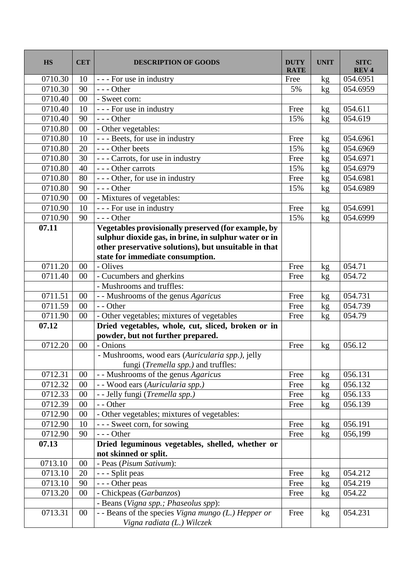| <b>HS</b>          | <b>CET</b>       | <b>DESCRIPTION OF GOODS</b>                                                 | <b>DUTY</b><br><b>RATE</b> | <b>UNIT</b>   | <b>SITC</b><br><b>REV4</b> |
|--------------------|------------------|-----------------------------------------------------------------------------|----------------------------|---------------|----------------------------|
| 0710.30            | 10               | - - - For use in industry                                                   | Free                       | kg            | 054.6951                   |
| 0710.30            | 90               | $--$ Other                                                                  | 5%                         | kg            | 054.6959                   |
| 0710.40            | $00\,$           | - Sweet corn:                                                               |                            |               |                            |
| 0710.40            | 10               | - - - For use in industry                                                   | Free                       | kg            | 054.611                    |
| 0710.40            | 90               | $--$ Other                                                                  | 15%                        | kg            | 054.619                    |
| 0710.80            | $00\,$           | - Other vegetables:                                                         |                            |               |                            |
| 0710.80            | 10               | ---Beets, for use in industry                                               | Free                       | kg            | 054.6961                   |
| 0710.80            | 20               | --- Other beets                                                             | 15%                        | kg            | 054.6969                   |
| 0710.80            | 30               | - - - Carrots, for use in industry                                          | Free                       | kg            | 054.6971                   |
| 0710.80            | 40               | --- Other carrots                                                           | 15%                        | kg            | 054.6979                   |
| 0710.80            | 80               | --- Other, for use in industry                                              | Free                       | kg            | 054.6981                   |
| 0710.80            | 90               | $--$ Other                                                                  | 15%                        | kg            | 054.6989                   |
| 0710.90            | 00               | - Mixtures of vegetables:                                                   |                            |               |                            |
| 0710.90            | 10               | - - - For use in industry                                                   | Free                       | kg            | 054.6991                   |
| 0710.90            | 90               | $--$ Other                                                                  | 15%                        | kg            | 054.6999                   |
| 07.11              |                  | Vegetables provisionally preserved (for example, by                         |                            |               |                            |
|                    |                  | sulphur dioxide gas, in brine, in sulphur water or in                       |                            |               |                            |
|                    |                  | other preservative solutions), but unsuitable in that                       |                            |               |                            |
|                    |                  | state for immediate consumption.                                            |                            |               |                            |
| 0711.20            | 00               | - Olives                                                                    | Free                       | kg            | 054.71                     |
| 0711.40            | 00               | - Cucumbers and gherkins                                                    | Free                       | kg            | 054.72                     |
|                    |                  | - Mushrooms and truffles:                                                   |                            |               |                            |
| 0711.51            | 00               | - - Mushrooms of the genus Agaricus                                         | Free                       | kg            | 054.731                    |
| 0711.59            | 00               | - - Other                                                                   | Free                       | kg            | 054.739                    |
| 0711.90            | 00               | - Other vegetables; mixtures of vegetables                                  | Free                       | $\mathrm{kg}$ | 054.79                     |
| 07.12              |                  | Dried vegetables, whole, cut, sliced, broken or in                          |                            |               |                            |
|                    |                  | powder, but not further prepared.                                           |                            |               |                            |
| 0712.20            | 00               | - Onions                                                                    | Free                       | kg            | 056.12                     |
|                    |                  | - Mushrooms, wood ears (Auricularia spp.), jelly                            |                            |               |                            |
|                    |                  | fungi ( <i>Tremella spp.</i> ) and truffles:                                |                            |               |                            |
| 0712.31            | 00               | - - Mushrooms of the genus Agaricus                                         | Free                       | kg            | 056.131                    |
| 0712.32            | 00               | - - Wood ears (Auricularia spp.)                                            | Free                       | kg            | 056.132                    |
| 0712.33            | $00\,$<br>$00\,$ | - - Jelly fungi (Tremella spp.)                                             | Free                       | kg            | 056.133                    |
| 0712.39            |                  | - - Other                                                                   | Free                       | kg            | 056.139                    |
| 0712.90<br>0712.90 | $00\,$<br>10     | - Other vegetables; mixtures of vegetables:<br>- - - Sweet corn, for sowing | Free                       |               | 056.191                    |
|                    |                  |                                                                             |                            | kg            |                            |
| 0712.90<br>07.13   | 90               | --- Other                                                                   | Free                       | kg            | 056,199                    |
|                    |                  | Dried leguminous vegetables, shelled, whether or                            |                            |               |                            |
| 0713.10            | 00               | not skinned or split.<br>- Peas (Pisum Sativum):                            |                            |               |                            |
| 0713.10            | 20               | --- Split peas                                                              | Free                       | kg            | 054.212                    |
| 0713.10            | 90               | - - - Other peas                                                            | Free                       | kg            | 054.219                    |
| 0713.20            | 00               | - Chickpeas (Garbanzos)                                                     | Free                       |               | 054.22                     |
|                    |                  | - Beans (Vigna spp.; Phaseolus spp):                                        |                            | kg            |                            |
| 0713.31            | $00\,$           | - - Beans of the species Vigna mungo (L.) Hepper or                         | Free                       | kg            | 054.231                    |
|                    |                  | Vigna radiata (L.) Wilczek                                                  |                            |               |                            |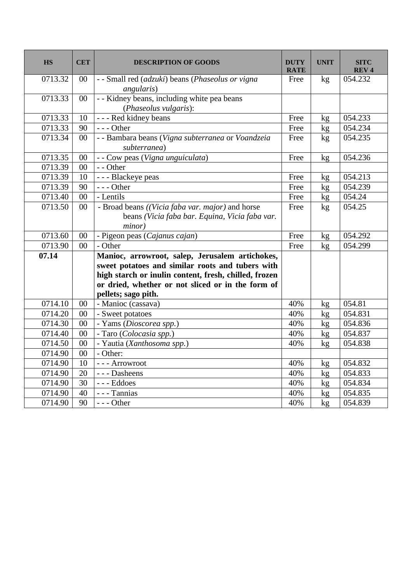| <b>HS</b> | <b>CET</b> | <b>DESCRIPTION OF GOODS</b>                                            | <b>DUTY</b><br><b>RATE</b> | <b>UNIT</b> | <b>SITC</b><br>REV <sub>4</sub> |
|-----------|------------|------------------------------------------------------------------------|----------------------------|-------------|---------------------------------|
| 0713.32   | $00\,$     | - - Small red (adzuki) beans (Phaseolus or vigna<br><i>angularis</i> ) | Free                       | kg          | 054.232                         |
| 0713.33   | $00\,$     | - - Kidney beans, including white pea beans<br>(Phaseolus vulgaris):   |                            |             |                                 |
| 0713.33   | 10         | - - - Red kidney beans                                                 | Free                       | kg          | 054.233                         |
| 0713.33   | 90         | $--$ Other                                                             | Free                       | kg          | 054.234                         |
| 0713.34   | $00\,$     | - - Bambara beans (Vigna subterranea or Voandzeia<br>subterranea)      | Free                       | kg          | 054.235                         |
| 0713.35   | 00         | - - Cow peas (Vigna unguiculata)                                       | Free                       | kg          | 054.236                         |
| 0713.39   | 00         | - - Other                                                              |                            |             |                                 |
| 0713.39   | 10         | - - - Blackeye peas                                                    | Free                       | kg          | 054.213                         |
| 0713.39   | 90         | $--$ Other                                                             | Free                       | kg          | 054.239                         |
| 0713.40   | 00         | - Lentils                                                              | Free                       | kg          | 054.24                          |
| 0713.50   | 00         | - Broad beans ((Vicia faba var. major) and horse                       | Free                       | kg          | 054.25                          |
|           |            | beans (Vicia faba bar. Equina, Vicia faba var.<br>minor)               |                            |             |                                 |
| 0713.60   | 00         | - Pigeon peas (Cajanus cajan)                                          | Free                       | kg          | 054.292                         |
| 0713.90   | 00         | - Other                                                                | Free                       | kg          | 054.299                         |
| 07.14     |            | Manioc, arrowroot, salep, Jerusalem artichokes,                        |                            |             |                                 |
|           |            | sweet potatoes and similar roots and tubers with                       |                            |             |                                 |
|           |            | high starch or inulin content, fresh, chilled, frozen                  |                            |             |                                 |
|           |            | or dried, whether or not sliced or in the form of                      |                            |             |                                 |
|           |            | pellets; sago pith.                                                    |                            |             |                                 |
| 0714.10   | 00         | - Manioc (cassava)                                                     | 40%                        | kg          | 054.81                          |
| 0714.20   | 00         | - Sweet potatoes                                                       | 40%                        | kg          | 054.831                         |
| 0714.30   | 00         | - Yams (Dioscorea spp.)                                                | 40%                        | kg          | 054.836                         |
| 0714.40   | 00         | - Taro (Colocasia spp.)                                                | 40%                        | kg          | 054.837                         |
| 0714.50   | 00         | - Yautia (Xanthosoma spp.)                                             | 40%                        | kg          | 054.838                         |
| 0714.90   | 00         | - Other:                                                               |                            |             |                                 |
| 0714.90   | 10         | --- Arrowroot                                                          | 40%                        | kg          | 054.832                         |
| 0714.90   | 20         | --- Dasheens                                                           | 40%                        | kg          | 054.833                         |
| 0714.90   | 30         | --- Eddoes                                                             | 40%                        | kg          | 054.834                         |
| 0714.90   | 40         | - - - Tannias                                                          | 40%                        | kg          | 054.835                         |
| 0714.90   | 90         | $--$ Other                                                             | 40%                        | kg          | 054.839                         |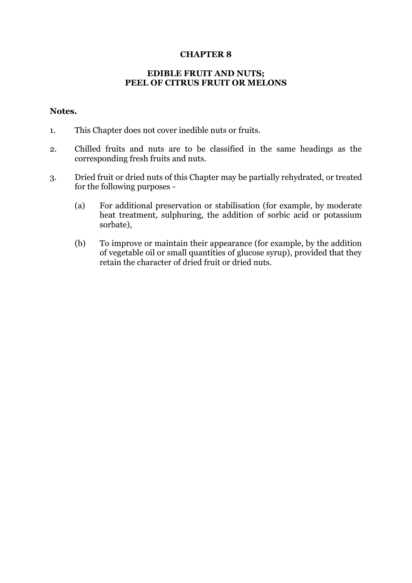# **EDIBLE FRUIT AND NUTS; PEEL OF CITRUS FRUIT OR MELONS**

- 1. This Chapter does not cover inedible nuts or fruits.
- 2. Chilled fruits and nuts are to be classified in the same headings as the corresponding fresh fruits and nuts.
- 3. Dried fruit or dried nuts of this Chapter may be partially rehydrated, or treated for the following purposes -
	- (a) For additional preservation or stabilisation (for example, by moderate heat treatment, sulphuring, the addition of sorbic acid or potassium sorbate),
	- (b) To improve or maintain their appearance (for example, by the addition of vegetable oil or small quantities of glucose syrup), provided that they retain the character of dried fruit or dried nuts.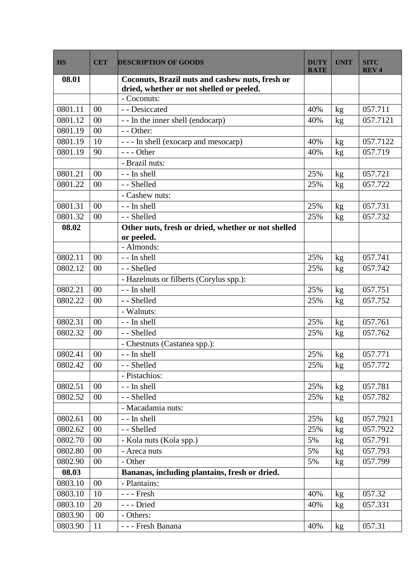| <b>HS</b> | <b>CET</b> | <b>DESCRIPTION OF GOODS</b>                                                                 | <b>DUTY</b><br><b>RATE</b> | <b>UNIT</b> | <b>SITC</b><br><b>REV4</b> |
|-----------|------------|---------------------------------------------------------------------------------------------|----------------------------|-------------|----------------------------|
| 08.01     |            | Coconuts, Brazil nuts and cashew nuts, fresh or<br>dried, whether or not shelled or peeled. |                            |             |                            |
|           |            | - Coconuts:                                                                                 |                            |             |                            |
| 0801.11   | 00         | - - Desiccated                                                                              | 40%                        | kg          | 057.711                    |
| 0801.12   | 00         | - - In the inner shell (endocarp)                                                           | 40%                        | kg          | 057.7121                   |
| 0801.19   | 00         | $-$ - Other:                                                                                |                            |             |                            |
| 0801.19   | 10         | --- In shell (exocarp and mesocarp)                                                         | 40%                        | kg          | 057.7122                   |
| 0801.19   | 90         | $--$ Other                                                                                  | 40%                        | kg          | 057.719                    |
|           |            | - Brazil nuts:                                                                              |                            |             |                            |
| 0801.21   | 00         | - - In shell                                                                                | 25%                        | kg          | 057.721                    |
| 0801.22   | 00         | - - Shelled                                                                                 | 25%                        | kg          | 057.722                    |
|           |            | - Cashew nuts:                                                                              |                            |             |                            |
| 0801.31   | 00         | $-$ In shell                                                                                | 25%                        | kg          | 057.731                    |
| 0801.32   | 00         | - - Shelled                                                                                 | 25%                        | kg          | 057.732                    |
| 08.02     |            | Other nuts, fresh or dried, whether or not shelled                                          |                            |             |                            |
|           |            | or peeled.                                                                                  |                            |             |                            |
|           |            | - Almonds:                                                                                  |                            |             |                            |
| 0802.11   | 00         | - - In shell                                                                                | 25%                        | kg          | 057.741                    |
| 0802.12   | 00         | - - Shelled                                                                                 | 25%                        | kg          | 057.742                    |
|           |            | - Hazelnuts or filberts (Corylus spp.):                                                     |                            |             |                            |
| 0802.21   | 00         | - - In shell                                                                                | 25%                        | kg          | 057.751                    |
| 0802.22   | 00         | - - Shelled                                                                                 | 25%                        | kg          | 057.752                    |
|           |            | - Walnuts:                                                                                  |                            |             |                            |
| 0802.31   | 00         | - - In shell                                                                                | 25%                        | kg          | 057.761                    |
| 0802.32   | 00         | - - Shelled                                                                                 | 25%                        | kg          | 057.762                    |
|           |            | - Chestnuts (Castanea spp.):                                                                |                            |             |                            |
| 0802.41   | 00         | - - In shell                                                                                | 25%                        | kg          | 057.771                    |
| 0802.42   | 00         | - - Shelled                                                                                 | 25%                        | kg          | 057.772                    |
|           |            | - Pistachios:                                                                               |                            |             |                            |
| 0802.51   | $00\,$     | - - In shell                                                                                | 25%                        | kg          | 057.781                    |
| 0802.52   | $00\,$     | - - Shelled                                                                                 | 25%                        | kg          | 057.782                    |
|           |            | - Macadamia nuts:                                                                           |                            |             |                            |
| 0802.61   | 00         | - - In shell                                                                                | 25%                        | kg          | 057.7921                   |
| 0802.62   | 00         | - - Shelled                                                                                 | 25%                        | kg          | 057.7922                   |
| 0802.70   | 00         | - Kola nuts (Kola spp.)                                                                     | 5%                         | kg          | 057.791                    |
| 0802.80   | $00\,$     | - Areca nuts                                                                                | 5%                         | kg          | 057.793                    |
| 0802.90   | $00\,$     | - Other                                                                                     | 5%                         | kg          | 057.799                    |
| 08.03     |            | Bananas, including plantains, fresh or dried.                                               |                            |             |                            |
| 0803.10   | 00         | - Plantains:                                                                                |                            |             |                            |
| 0803.10   | 10         | --- Fresh                                                                                   | 40%                        | kg          | 057.32                     |
| 0803.10   | 20         | --- Dried                                                                                   | 40%                        | kg          | 057.331                    |
| 0803.90   | 00         | - Others:                                                                                   |                            |             |                            |
| 0803.90   | 11         | - - - Fresh Banana                                                                          | 40%                        | kg          | 057.31                     |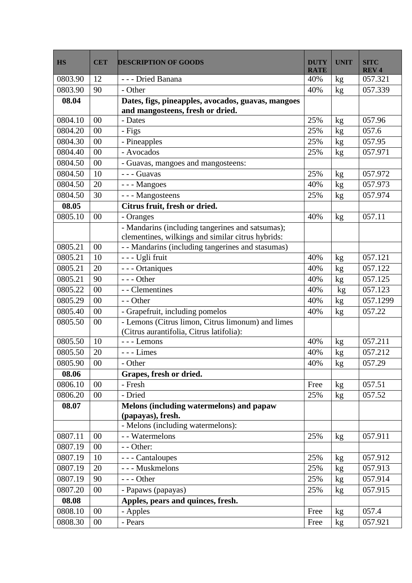| <b>HS</b> | <b>CET</b> | <b>DESCRIPTION OF GOODS</b>                                                                           | <b>DUTY</b><br><b>RATE</b> | <b>UNIT</b> | <b>SITC</b><br><b>REV4</b> |
|-----------|------------|-------------------------------------------------------------------------------------------------------|----------------------------|-------------|----------------------------|
| 0803.90   | 12         | --- Dried Banana                                                                                      | 40%                        | kg          | 057.321                    |
| 0803.90   | 90         | - Other                                                                                               | 40%                        | kg          | 057.339                    |
| 08.04     |            | Dates, figs, pineapples, avocados, guavas, mangoes<br>and mangosteens, fresh or dried.                |                            |             |                            |
| 0804.10   | 00         | - Dates                                                                                               | 25%                        | kg          | 057.96                     |
| 0804.20   | 00         | - Figs                                                                                                | 25%                        | kg          | 057.6                      |
| 0804.30   | 00         | - Pineapples                                                                                          | 25%                        | kg          | 057.95                     |
| 0804.40   | 00         | - Avocados                                                                                            | 25%                        | kg          | 057.971                    |
| 0804.50   | 00         | - Guavas, mangoes and mangosteens:                                                                    |                            |             |                            |
| 0804.50   | 10         | - - - Guavas                                                                                          | 25%                        | kg          | 057.972                    |
| 0804.50   | 20         | --- Mangoes                                                                                           | 40%                        | kg          | 057.973                    |
| 0804.50   | 30         | - - - Mangosteens                                                                                     | 25%                        | kg          | 057.974                    |
| 08.05     |            | Citrus fruit, fresh or dried.                                                                         |                            |             |                            |
| 0805.10   | 00         | - Oranges                                                                                             | 40%                        | kg          | 057.11                     |
|           |            | - Mandarins (including tangerines and satsumas);<br>clementines, wilkings and similar citrus hybrids: |                            |             |                            |
| 0805.21   | 00         | - - Mandarins (including tangerines and stasumas)                                                     |                            |             |                            |
| 0805.21   | 10         | - - - Ugli fruit                                                                                      | 40%                        | kg          | 057.121                    |
| 0805.21   | 20         | - - - Ortaniques                                                                                      | 40%                        | kg          | 057.122                    |
| 0805.21   | 90         | $--$ Other                                                                                            | 40%                        | kg          | 057.125                    |
| 0805.22   | 00         | - - Clementines                                                                                       | 40%                        | kg          | 057.123                    |
| 0805.29   | 00         | - - Other                                                                                             | 40%                        | kg          | 057.1299                   |
| 0805.40   | 00         | - Grapefruit, including pomelos                                                                       | 40%                        | kg          | 057.22                     |
| 0805.50   | 00         | - Lemons (Citrus limon, Citrus limonum) and limes<br>(Citrus aurantifolia, Citrus latifolia):         |                            |             |                            |
| 0805.50   | 10         | --- Lemons                                                                                            | 40%                        | kg          | 057.211                    |
| 0805.50   | 20         | --- Limes                                                                                             | 40%                        | $\rm kg$    | 057.212                    |
| 0805.90   | $00\,$     | - Other                                                                                               | 40%                        | $\rm kg$    | 057.29                     |
| 08.06     |            | Grapes, fresh or dried.                                                                               |                            |             |                            |
| 0806.10   | 00         | - Fresh                                                                                               | Free                       | kg          | 057.51                     |
| 0806.20   | 00         | - Dried                                                                                               | 25%                        | kg          | 057.52                     |
| 08.07     |            | Melons (including watermelons) and papaw<br>(papayas), fresh.                                         |                            |             |                            |
|           |            | - Melons (including watermelons):                                                                     |                            |             |                            |
| 0807.11   | 00         | - - Watermelons                                                                                       | 25%                        | kg          | 057.911                    |
| 0807.19   | 00         | $-$ - Other:                                                                                          |                            |             |                            |
| 0807.19   | 10         | - - - Cantaloupes                                                                                     | 25%                        | kg          | 057.912                    |
| 0807.19   | 20         | --- Muskmelons                                                                                        | 25%                        | kg          | 057.913                    |
| 0807.19   | 90         | $--$ Other                                                                                            | 25%                        | kg          | 057.914                    |
| 0807.20   | 00         | - Papaws (papayas)                                                                                    | 25%                        | kg          | 057.915                    |
| 08.08     |            | Apples, pears and quinces, fresh.                                                                     |                            |             |                            |
| 0808.10   | 00         | - Apples                                                                                              | Free                       | kg          | 057.4                      |
| 0808.30   | 00         | - Pears                                                                                               | Free                       | kg          | 057.921                    |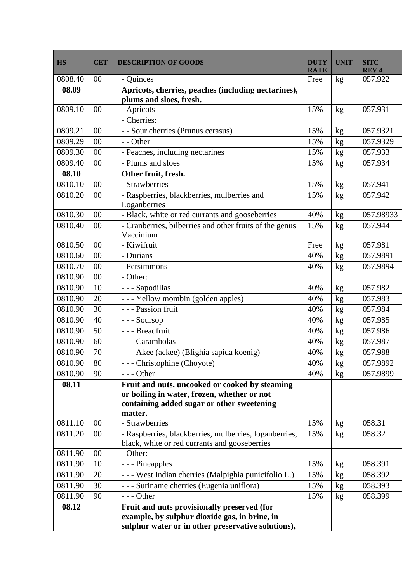| <b>HS</b> | <b>CET</b> | <b>DESCRIPTION OF GOODS</b>                                                                                                                            | <b>DUTY</b><br><b>RATE</b> | <b>UNIT</b> | <b>SITC</b><br><b>REV4</b> |
|-----------|------------|--------------------------------------------------------------------------------------------------------------------------------------------------------|----------------------------|-------------|----------------------------|
| 0808.40   | 00         | - Quinces                                                                                                                                              | Free                       | kg          | 057.922                    |
| 08.09     |            | Apricots, cherries, peaches (including nectarines),                                                                                                    |                            |             |                            |
|           |            | plums and sloes, fresh.                                                                                                                                |                            |             |                            |
| 0809.10   | 00         | - Apricots                                                                                                                                             | 15%                        | kg          | 057.931                    |
|           |            | - Cherries:                                                                                                                                            |                            |             |                            |
| 0809.21   | 00         | - - Sour cherries (Prunus cerasus)                                                                                                                     | 15%                        | kg          | 057.9321                   |
| 0809.29   | 00         | - - Other                                                                                                                                              | 15%                        | kg          | 057.9329                   |
| 0809.30   | 00         | - Peaches, including nectarines                                                                                                                        | 15%                        | kg          | 057.933                    |
| 0809.40   | 00         | - Plums and sloes                                                                                                                                      | 15%                        | kg          | 057.934                    |
| 08.10     |            | Other fruit, fresh.                                                                                                                                    |                            |             |                            |
| 0810.10   | 00         | - Strawberries                                                                                                                                         | 15%                        | kg          | 057.941                    |
| 0810.20   | 00         | - Raspberries, blackberries, mulberries and<br>Loganberries                                                                                            | 15%                        | kg          | 057.942                    |
| 0810.30   | 00         | - Black, white or red currants and gooseberries                                                                                                        | 40%                        | kg          | 057.98933                  |
| 0810.40   | 00         | - Cranberries, bilberries and other fruits of the genus<br>Vaccinium                                                                                   | 15%                        | kg          | 057.944                    |
| 0810.50   | 00         | - Kiwifruit                                                                                                                                            | Free                       | kg          | 057.981                    |
| 0810.60   | 00         | - Durians                                                                                                                                              | 40%                        | kg          | 057.9891                   |
| 0810.70   | 00         | - Persimmons                                                                                                                                           | 40%                        | kg          | 057.9894                   |
| 0810.90   | 00         | - Other:                                                                                                                                               |                            |             |                            |
| 0810.90   | 10         | - - - Sapodillas                                                                                                                                       | 40%                        | kg          | 057.982                    |
| 0810.90   | 20         | --- Yellow mombin (golden apples)                                                                                                                      | 40%                        | kg          | 057.983                    |
| 0810.90   | 30         | - - - Passion fruit                                                                                                                                    | 40%                        | kg          | 057.984                    |
| 0810.90   | 40         | --- Soursop                                                                                                                                            | 40%                        | kg          | 057.985                    |
| 0810.90   | 50         | --- Breadfruit                                                                                                                                         | 40%                        | kg          | 057.986                    |
| 0810.90   | 60         | - - - Carambolas                                                                                                                                       | 40%                        | kg          | 057.987                    |
| 0810.90   | 70         | - - - Akee (ackee) (Blighia sapida koenig)                                                                                                             | 40%                        | kg          | 057.988                    |
| 0810.90   | $80\,$     | --- Christophine (Choyote)                                                                                                                             | 40%                        | $\rm kg$    | 057.9892                   |
| 0810.90   | 90         | --- Other                                                                                                                                              | 40%                        | kg          | 057.9899                   |
| 08.11     |            | Fruit and nuts, uncooked or cooked by steaming<br>or boiling in water, frozen, whether or not<br>containing added sugar or other sweetening<br>matter. |                            |             |                            |
| 0811.10   | 00         | - Strawberries                                                                                                                                         | 15%                        | kg          | 058.31                     |
| 0811.20   | 00         | - Raspberries, blackberries, mulberries, loganberries,<br>black, white or red currants and gooseberries                                                | 15%                        | kg          | 058.32                     |
| 0811.90   | 00         | - Other:                                                                                                                                               |                            |             |                            |
| 0811.90   | 10         | - - - Pineapples                                                                                                                                       | 15%                        | kg          | 058.391                    |
| 0811.90   | 20         | - - - West Indian cherries (Malpighia punicifolio L.)                                                                                                  | 15%                        | kg          | 058.392                    |
| 0811.90   | 30         | - - - Suriname cherries (Eugenia uniflora)                                                                                                             | 15%                        | kg          | 058.393                    |
| 0811.90   | 90         | $--$ Other                                                                                                                                             | 15%                        | kg          | 058.399                    |
| 08.12     |            | Fruit and nuts provisionally preserved (for<br>example, by sulphur dioxide gas, in brine, in<br>sulphur water or in other preservative solutions),     |                            |             |                            |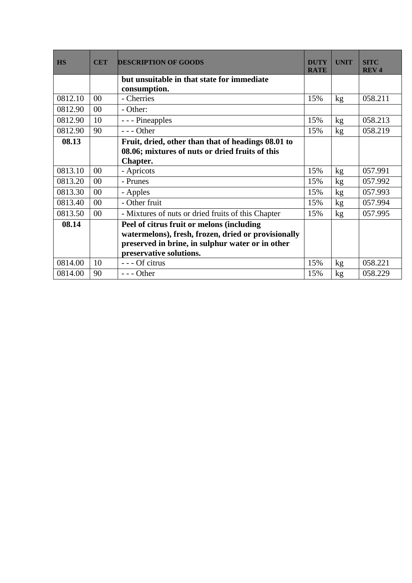| <b>HS</b> | <b>CET</b> | <b>DESCRIPTION OF GOODS</b>                                                                                                                                                     | <b>DUTY</b><br><b>RATE</b> | <b>UNIT</b>     | <b>SITC</b><br><b>REV4</b> |
|-----------|------------|---------------------------------------------------------------------------------------------------------------------------------------------------------------------------------|----------------------------|-----------------|----------------------------|
|           |            | but unsuitable in that state for immediate<br>consumption.                                                                                                                      |                            |                 |                            |
| 0812.10   | $00\,$     | - Cherries                                                                                                                                                                      | 15%                        | kg              | 058.211                    |
| 0812.90   | $00\,$     | - Other:                                                                                                                                                                        |                            |                 |                            |
| 0812.90   | 10         | - - - Pineapples                                                                                                                                                                | 15%                        | kg              | 058.213                    |
| 0812.90   | 90         | $--$ Other                                                                                                                                                                      | 15%                        | kg <sub>2</sub> | 058.219                    |
| 08.13     |            | Fruit, dried, other than that of headings 08.01 to<br>08.06; mixtures of nuts or dried fruits of this<br>Chapter.                                                               |                            |                 |                            |
| 0813.10   | $00\,$     | - Apricots                                                                                                                                                                      | 15%                        | kg              | 057.991                    |
| 0813.20   | 00         | - Prunes                                                                                                                                                                        | 15%                        | kg              | 057.992                    |
| 0813.30   | 00         | - Apples                                                                                                                                                                        | 15%                        | kg              | 057.993                    |
| 0813.40   | 00         | - Other fruit                                                                                                                                                                   | 15%                        | kg              | 057.994                    |
| 0813.50   | 00         | - Mixtures of nuts or dried fruits of this Chapter                                                                                                                              | 15%                        | kg              | 057.995                    |
| 08.14     |            | Peel of citrus fruit or melons (including<br>watermelons), fresh, frozen, dried or provisionally<br>preserved in brine, in sulphur water or in other<br>preservative solutions. |                            |                 |                            |
| 0814.00   | 10         | --- Of citrus                                                                                                                                                                   | 15%                        | kg              | 058.221                    |
| 0814.00   | 90         | $--$ Other                                                                                                                                                                      | 15%                        | kg              | 058.229                    |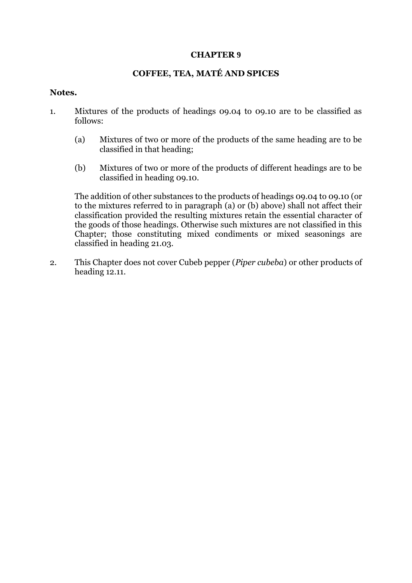# **COFFEE, TEA, MATÉ AND SPICES**

#### **Notes.**

- 1. Mixtures of the products of headings 09.04 to 09.10 are to be classified as follows:
	- (a) Mixtures of two or more of the products of the same heading are to be classified in that heading;
	- (b) Mixtures of two or more of the products of different headings are to be classified in heading 09.10.

The addition of other substances to the products of headings 09.04 to 09.10 (or to the mixtures referred to in paragraph (a) or (b) above) shall not affect their classification provided the resulting mixtures retain the essential character of the goods of those headings. Otherwise such mixtures are not classified in this Chapter; those constituting mixed condiments or mixed seasonings are classified in heading 21.03.

2. This Chapter does not cover Cubeb pepper (*Piper cubeba*) or other products of heading 12.11.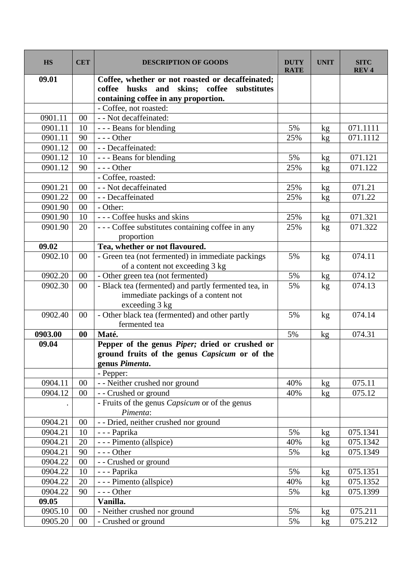| <b>HS</b> | <b>CET</b> | <b>DESCRIPTION OF GOODS</b>                           | <b>DUTY</b><br><b>RATE</b> | <b>UNIT</b>         | <b>SITC</b><br><b>REV4</b> |
|-----------|------------|-------------------------------------------------------|----------------------------|---------------------|----------------------------|
| 09.01     |            | Coffee, whether or not roasted or decaffeinated;      |                            |                     |                            |
|           |            | coffee husks and skins; coffee<br>substitutes         |                            |                     |                            |
|           |            | containing coffee in any proportion.                  |                            |                     |                            |
|           |            | - Coffee, not roasted:                                |                            |                     |                            |
| 0901.11   | 00         | - - Not decaffeinated:                                |                            |                     |                            |
| 0901.11   | 10         | - - - Beans for blending                              | 5%                         | kg                  | 071.1111                   |
| 0901.11   | 90         | $--$ Other                                            | 25%                        | kg                  | 071.1112                   |
| 0901.12   | $00\,$     | - - Decaffeinated:                                    |                            |                     |                            |
| 0901.12   | 10         | - - - Beans for blending                              | 5%                         | kg                  | 071.121                    |
| 0901.12   | 90         | $--$ Other                                            | 25%                        | kg                  | 071.122                    |
|           |            | - Coffee, roasted:                                    |                            |                     |                            |
| 0901.21   | 00         | - - Not decaffeinated                                 | 25%                        | $k_{\underline{g}}$ | 071.21                     |
| 0901.22   | $00\,$     | - - Decaffeinated                                     | 25%                        | kg                  | 071.22                     |
| 0901.90   | $00\,$     | - Other:                                              |                            |                     |                            |
| 0901.90   | 10         | --- Coffee husks and skins                            | 25%                        | kg                  | 071.321                    |
| 0901.90   | 20         | - - - Coffee substitutes containing coffee in any     | 25%                        | kg                  | 071.322                    |
|           |            | proportion                                            |                            |                     |                            |
| 09.02     |            | Tea, whether or not flavoured.                        |                            |                     |                            |
| 0902.10   | $00\,$     | - Green tea (not fermented) in immediate packings     | 5%                         | kg                  | 074.11                     |
|           |            | of a content not exceeding 3 kg                       |                            |                     |                            |
| 0902.20   | 00         | - Other green tea (not fermented)                     | 5%                         | kg                  | 074.12                     |
| 0902.30   | $00\,$     | - Black tea (fermented) and partly fermented tea, in  | 5%                         | kg                  | 074.13                     |
|           |            | immediate packings of a content not                   |                            |                     |                            |
|           |            | exceeding 3 kg                                        |                            |                     |                            |
| 0902.40   | 00         | - Other black tea (fermented) and other partly        | 5%                         | kg                  | 074.14                     |
|           |            | fermented tea                                         |                            |                     |                            |
| 0903.00   | 00         | Maté.                                                 | 5%                         | kg                  | 074.31                     |
| 09.04     |            | Pepper of the genus Piper; dried or crushed or        |                            |                     |                            |
|           |            | ground fruits of the genus Capsicum or of the         |                            |                     |                            |
|           |            | genus Pimenta.                                        |                            |                     |                            |
|           |            | - Pepper:                                             |                            |                     |                            |
| 0904.11   | 00         | - - Neither crushed nor ground                        | 40%                        | kg                  | 075.11                     |
| 0904.12   | $00\,$     | - - Crushed or ground                                 | 40%                        | kg                  | 075.12                     |
|           |            | - Fruits of the genus <i>Capsicum</i> or of the genus |                            |                     |                            |
|           |            | Pimenta:                                              |                            |                     |                            |
| 0904.21   | 00         | - - Dried, neither crushed nor ground                 |                            |                     |                            |
| 0904.21   | 10         | - - - Paprika                                         | 5%                         | kg                  | 075.1341                   |
| 0904.21   | 20         | - - - Pimento (allspice)                              | 40%                        | kg                  | 075.1342                   |
| 0904.21   | 90         | $--$ Other                                            | 5%                         | kg                  | 075.1349                   |
| 0904.22   | $00\,$     | - - Crushed or ground                                 |                            |                     |                            |
| 0904.22   | 10         | - - - Paprika                                         | 5%                         | kg                  | 075.1351                   |
| 0904.22   | 20         | - - - Pimento (allspice)                              | 40%                        | kg                  | 075.1352                   |
| 0904.22   | 90         | $--$ Other                                            | 5%                         | kg                  | 075.1399                   |
| 09.05     |            | Vanilla.                                              |                            |                     |                            |
| 0905.10   | 00         | - Neither crushed nor ground                          | 5%                         | kg                  | 075.211                    |
| 0905.20   | 00         | - Crushed or ground                                   | 5%                         | kg                  | 075.212                    |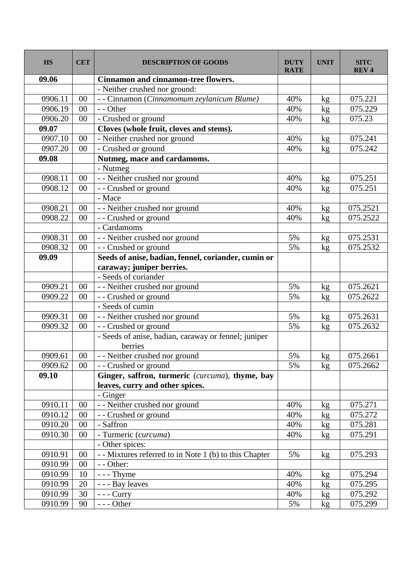| <b>HS</b> | <b>CET</b> | <b>DESCRIPTION OF GOODS</b>                                     | <b>DUTY</b><br><b>RATE</b> | <b>UNIT</b>   | <b>SITC</b><br><b>REV4</b> |
|-----------|------------|-----------------------------------------------------------------|----------------------------|---------------|----------------------------|
| 09.06     |            | Cinnamon and cinnamon-tree flowers.                             |                            |               |                            |
|           |            | - Neither crushed nor ground:                                   |                            |               |                            |
| 0906.11   | 00         | - - Cinnamon (Cinnamomum zeylanicum Blume)                      | 40%                        | kg            | 075.221                    |
| 0906.19   | 00         | - - Other                                                       | 40%                        | kg            | 075.229                    |
| 0906.20   | 00         | - Crushed or ground                                             | 40%                        | kg            | 075.23                     |
| 09.07     |            | Cloves (whole fruit, cloves and stems).                         |                            |               |                            |
| 0907.10   | $00\,$     | - Neither crushed nor ground                                    | 40%                        | $\mathbf{kg}$ | 075.241                    |
| 0907.20   | 00         | - Crushed or ground                                             | 40%                        | kg            | 075.242                    |
| 09.08     |            | Nutmeg, mace and cardamoms.                                     |                            |               |                            |
|           |            | - Nutmeg                                                        |                            |               |                            |
| 0908.11   | $00\,$     | - - Neither crushed nor ground                                  | 40%                        | kg            | 075.251                    |
| 0908.12   | $00\,$     | - - Crushed or ground                                           | 40%                        | kg            | 075.251                    |
|           |            | - Mace                                                          |                            |               |                            |
| 0908.21   | $00\,$     | - - Neither crushed nor ground                                  | 40%                        | kg            | 075.2521                   |
| 0908.22   | 00         | - - Crushed or ground                                           | 40%                        | kg            | 075.2522                   |
|           |            | - Cardamoms                                                     |                            |               |                            |
| 0908.31   | 00         | - - Neither crushed nor ground                                  | 5%                         | kg            | 075.2531                   |
| 0908.32   | 00         | - - Crushed or ground                                           | 5%                         | kg            | 075.2532                   |
| 09.09     |            | Seeds of anise, badian, fennel, coriander, cumin or             |                            |               |                            |
|           |            | caraway; juniper berries.                                       |                            |               |                            |
|           |            | - Seeds of coriander                                            |                            |               |                            |
| 0909.21   | 00         | - - Neither crushed nor ground                                  | 5%                         | kg            | 075.2621                   |
| 0909.22   | 00         | - - Crushed or ground                                           | 5%                         | kg            | 075.2622                   |
|           |            | - Seeds of cumin                                                |                            |               |                            |
| 0909.31   | $00\,$     | - - Neither crushed nor ground                                  | 5%                         | kg            | 075.2631                   |
| 0909.32   | 00         | - - Crushed or ground                                           | 5%                         | kg            | 075.2632                   |
|           |            | - Seeds of anise, badian, caraway or fennel; juniper<br>berries |                            |               |                            |
| 0909.61   | $00\,$     | - - Neither crushed nor ground                                  | 5%                         | kg            | 075.2661                   |
| 0909.62   | $00\,$     | - - Crushed or ground                                           | 5%                         | kg            | 075.2662                   |
| 09.10     |            | Ginger, saffron, turmeric (curcuma), thyme, bay                 |                            |               |                            |
|           |            | leaves, curry and other spices.                                 |                            |               |                            |
|           |            | - Ginger                                                        |                            |               |                            |
| 0910.11   | 00         | - - Neither crushed nor ground                                  | 40%                        | kg            | 075.271                    |
| 0910.12   | 00         | - - Crushed or ground                                           | 40%                        | kg            | 075.272                    |
| 0910.20   | 00         | - Saffron                                                       | 40%                        | kg            | 075.281                    |
| 0910.30   | 00         | - Turmeric (curcuma)                                            | 40%                        | kg            | 075.291                    |
|           |            | - Other spices:                                                 |                            |               |                            |
| 0910.91   | 00         | - Mixtures referred to in Note 1 (b) to this Chapter            | 5%                         | kg            | 075.293                    |
| 0910.99   | $00\,$     | - - Other:                                                      |                            |               |                            |
| 0910.99   | 10         | $--$ Thyme                                                      | 40%                        | kg            | 075.294                    |
| 0910.99   | 20         | - - - Bay leaves                                                | 40%                        | kg            | 075.295                    |
| 0910.99   | 30         | $-- Curry$                                                      | 40%                        | kg            | 075.292                    |
| 0910.99   | 90         | $--$ Other                                                      | 5%                         | kg            | 075.299                    |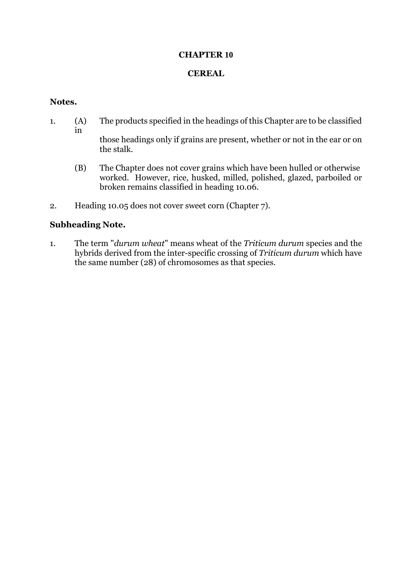# **CEREAL**

#### **Notes.**

1. (A) The products specified in the headings of this Chapter are to be classified in

those headings only if grains are present, whether or not in the ear or on the stalk.

- (B) The Chapter does not cover grains which have been hulled or otherwise worked. However, rice, husked, milled, polished, glazed, parboiled or broken remains classified in heading 10.06.
- 2. Heading 10.05 does not cover sweet corn (Chapter 7).

# **Subheading Note.**

1. The term "*durum wheat*" means wheat of the *Triticum durum* species and the hybrids derived from the inter-specific crossing of *Triticum durum* which have the same number (28) of chromosomes as that species.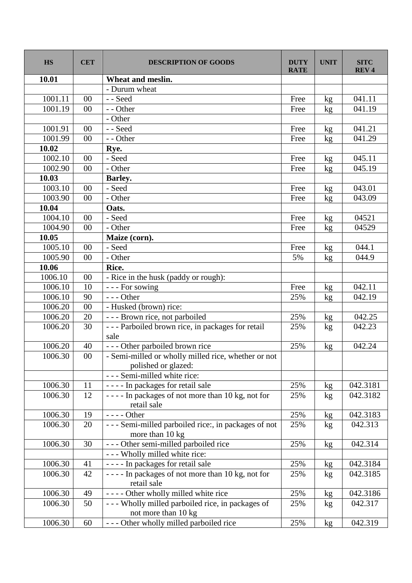| <b>HS</b> | <b>CET</b> | <b>DESCRIPTION OF GOODS</b>                                             | <b>DUTY</b><br><b>RATE</b> | <b>UNIT</b> | <b>SITC</b><br><b>REV4</b> |
|-----------|------------|-------------------------------------------------------------------------|----------------------------|-------------|----------------------------|
| 10.01     |            | Wheat and meslin.                                                       |                            |             |                            |
|           |            | - Durum wheat                                                           |                            |             |                            |
| 1001.11   | 00         | - - Seed                                                                | Free                       | kg          | 041.11                     |
| 1001.19   | 00         | - - Other                                                               | Free                       | kg          | 041.19                     |
|           |            | - Other                                                                 |                            |             |                            |
| 1001.91   | 00         | $-$ Seed                                                                | Free                       | kg          | 041.21                     |
| 1001.99   | 00         | - - Other                                                               | Free                       | kg          | 041.29                     |
| 10.02     |            | Rye.                                                                    |                            |             |                            |
| 1002.10   | 00         | - Seed                                                                  | Free                       | kg          | 045.11                     |
| 1002.90   | 00         | - Other                                                                 | Free                       | kg          | 045.19                     |
| 10.03     |            | Barley.                                                                 |                            |             |                            |
| 1003.10   | 00         | - Seed                                                                  | Free                       | kg          | 043.01                     |
| 1003.90   | 00         | - Other                                                                 | Free                       | kg          | 043.09                     |
| 10.04     |            | Oats.                                                                   |                            |             |                            |
| 1004.10   | 00         | - Seed                                                                  | Free                       | kg          | 04521                      |
| 1004.90   | 00         | - Other                                                                 | Free                       | kg          | 04529                      |
| 10.05     |            | Maize (corn).                                                           |                            |             |                            |
| 1005.10   | 00         | - Seed                                                                  | Free                       | kg          | 044.1                      |
| 1005.90   | $00\,$     | $-$ Other                                                               | 5%                         | kg          | 044.9                      |
| 10.06     |            | Rice.                                                                   |                            |             |                            |
| 1006.10   | 00         | - Rice in the husk (paddy or rough):                                    |                            |             |                            |
| 1006.10   | 10         | --- For sowing                                                          | Free                       | kg          | 042.11                     |
| 1006.10   | 90         | $--$ Other                                                              | 25%                        | kg          | 042.19                     |
| 1006.20   | 00         | - Husked (brown) rice:                                                  |                            |             |                            |
| 1006.20   | 20         | - - - Brown rice, not parboiled                                         | 25%                        | kg          | 042.25                     |
| 1006.20   | 30         | --- Parboiled brown rice, in packages for retail<br>sale                | 25%                        | kg          | 042.23                     |
| 1006.20   | 40         | --- Other parboiled brown rice                                          | 25%                        | kg          | 042.24                     |
| 1006.30   | $00\,$     | - Semi-milled or wholly milled rice, whether or not                     |                            |             |                            |
|           |            | polished or glazed:                                                     |                            |             |                            |
|           |            | - - - Semi-milled white rice:                                           |                            |             |                            |
| 1006.30   | 11         | - - - - In packages for retail sale                                     | 25%                        | kg          | 042.3181                   |
| 1006.30   | 12         | ---- In packages of not more than 10 kg, not for                        | 25%                        | kg          | 042.3182                   |
|           |            | retail sale                                                             |                            |             |                            |
| 1006.30   | 19         | $--- Other$                                                             | 25%                        | kg          | 042.3183                   |
| 1006.30   | 20         | --- Semi-milled parboiled rice:, in packages of not<br>more than 10 kg  | 25%                        | kg          | 042.313                    |
| 1006.30   | 30         | --- Other semi-milled parboiled rice                                    | 25%                        | kg          | 042.314                    |
|           |            | - - - Wholly milled white rice:                                         |                            |             |                            |
| 1006.30   | 41         | - - - - In packages for retail sale                                     | 25%                        | kg          | 042.3184                   |
| 1006.30   | 42         | ---- In packages of not more than 10 kg, not for                        | 25%                        | kg          | 042.3185                   |
|           |            | retail sale                                                             |                            |             |                            |
| 1006.30   | 49         | ---- Other wholly milled white rice                                     | 25%                        | kg          | 042.3186                   |
| 1006.30   | 50         | --- Wholly milled parboiled rice, in packages of<br>not more than 10 kg | 25%                        | kg          | 042.317                    |
| 1006.30   | 60         | --- Other wholly milled parboiled rice                                  | 25%                        | kg          | 042.319                    |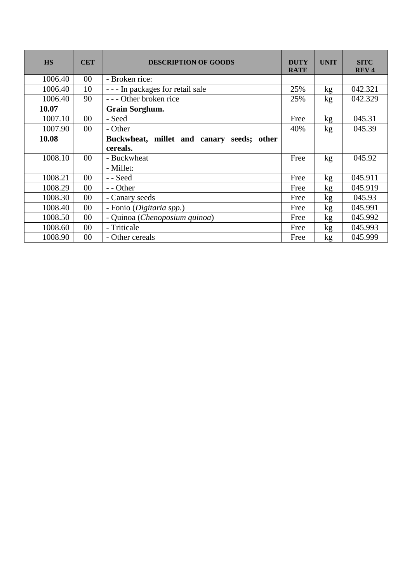| <b>HS</b> | <b>CET</b> | <b>DESCRIPTION OF GOODS</b>               | <b>DUTY</b><br><b>RATE</b> | <b>UNIT</b>     | <b>SITC</b><br><b>REV4</b> |
|-----------|------------|-------------------------------------------|----------------------------|-----------------|----------------------------|
| 1006.40   | $00\,$     | - Broken rice:                            |                            |                 |                            |
| 1006.40   | 10         | - - - In packages for retail sale         | 25%                        | kg <sub>1</sub> | 042.321                    |
| 1006.40   | 90         | - - - Other broken rice                   | 25%                        | kg <sub>1</sub> | 042.329                    |
| 10.07     |            | <b>Grain Sorghum.</b>                     |                            |                 |                            |
| 1007.10   | $00\,$     | - Seed                                    | Free                       | kg              | 045.31                     |
| 1007.90   | $00\,$     | - Other                                   | 40%                        | kg              | 045.39                     |
| 10.08     |            | Buckwheat, millet and canary seeds; other |                            |                 |                            |
|           |            | cereals.                                  |                            |                 |                            |
| 1008.10   | $00\,$     | - Buckwheat                               | Free                       | kg <sub>2</sub> | 045.92                     |
|           |            | - Millet:                                 |                            |                 |                            |
| 1008.21   | $00\,$     | - - Seed                                  | Free                       | kg              | 045.911                    |
| 1008.29   | $00\,$     | - - Other                                 | Free                       | kg              | 045.919                    |
| 1008.30   | $00\,$     | - Canary seeds                            | Free                       | kg              | 045.93                     |
| 1008.40   | $00\,$     | - Fonio (Digitaria spp.)                  | Free                       | kg              | 045.991                    |
| 1008.50   | $00\,$     | - Quinoa (Chenoposium quinoa)             | Free                       | kg              | 045.992                    |
| 1008.60   | $00\,$     | - Triticale                               | Free                       | kg              | 045.993                    |
| 1008.90   | $00\,$     | - Other cereals                           | Free                       | kg              | 045.999                    |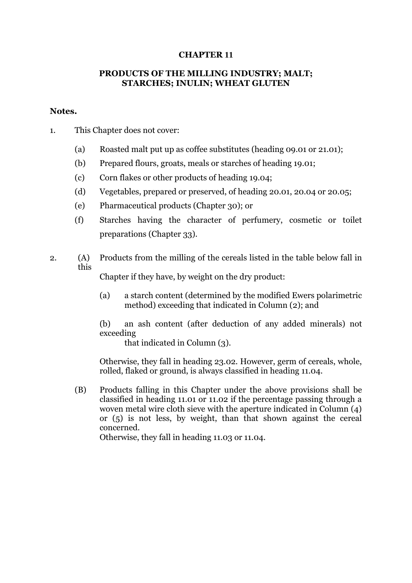# **PRODUCTS OF THE MILLING INDUSTRY; MALT; STARCHES; INULIN; WHEAT GLUTEN**

#### **Notes.**

- 1. This Chapter does not cover:
	- (a) Roasted malt put up as coffee substitutes (heading 09.01 or 21.01);
	- (b) Prepared flours, groats, meals or starches of heading 19.01;
	- (c) Corn flakes or other products of heading 19.04;
	- (d) Vegetables, prepared or preserved, of heading 20.01, 20.04 or 20.05;
	- (e) Pharmaceutical products (Chapter 30); or
	- (f) Starches having the character of perfumery, cosmetic or toilet preparations (Chapter 33).
- 2. (A) Products from the milling of the cereals listed in the table below fall in this

Chapter if they have, by weight on the dry product:

(a) a starch content (determined by the modified Ewers polarimetric method) exceeding that indicated in Column (2); and

(b) an ash content (after deduction of any added minerals) not exceeding

that indicated in Column (3).

Otherwise, they fall in heading 23.02. However, germ of cereals, whole, rolled, flaked or ground, is always classified in heading 11.04.

(B) Products falling in this Chapter under the above provisions shall be classified in heading 11.01 or 11.02 if the percentage passing through a woven metal wire cloth sieve with the aperture indicated in Column (4) or (5) is not less, by weight, than that shown against the cereal concerned.

Otherwise, they fall in heading 11.03 or 11.04.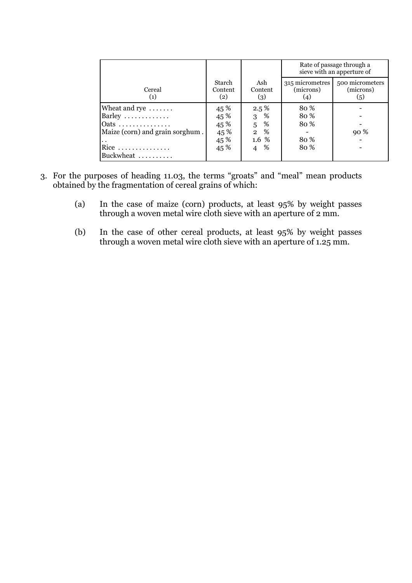|                                                                                 |                                      |                                                             | Rate of passage through a<br>sieve with an apperture of |                                     |  |  |
|---------------------------------------------------------------------------------|--------------------------------------|-------------------------------------------------------------|---------------------------------------------------------|-------------------------------------|--|--|
| Cereal<br>(1)                                                                   | Starch<br>Content<br>(2)             | Ash<br>Content<br>(3)                                       | 315 micrometres<br>(microns)<br>(4)                     | 500 micrometers<br>(microns)<br>(5) |  |  |
| Wheat and rye<br>Barley<br>Oats<br>Maize (corn) and grain sorghum.<br>$\ddotsc$ | 45 %<br>45 %<br>45 %<br>45 %<br>45 % | $2.5\%$<br>%<br>3<br>5<br>%<br>$\overline{2}$<br>%<br>1.6 % | 80%<br>80%<br>80%<br>80%                                | 90 %                                |  |  |
| $Rice$<br>Buckwheat                                                             | 45 %                                 | %<br>4                                                      | 80%                                                     |                                     |  |  |

- 3. For the purposes of heading 11.03, the terms "groats" and "meal" mean products obtained by the fragmentation of cereal grains of which:
	- (a) In the case of maize (corn) products, at least 95% by weight passes through a woven metal wire cloth sieve with an aperture of 2 mm.
	- (b) In the case of other cereal products, at least 95% by weight passes through a woven metal wire cloth sieve with an aperture of 1.25 mm.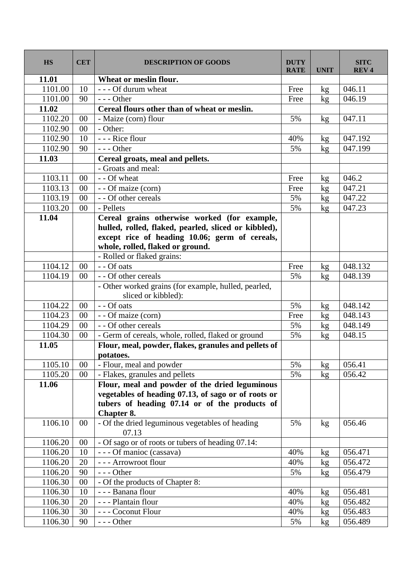| <b>HS</b> | <b>CET</b> | <b>DESCRIPTION OF GOODS</b>                                                                                                                                                                | <b>DUTY</b><br><b>RATE</b> | <b>UNIT</b> | <b>SITC</b><br><b>REV4</b> |
|-----------|------------|--------------------------------------------------------------------------------------------------------------------------------------------------------------------------------------------|----------------------------|-------------|----------------------------|
| 11.01     |            | Wheat or meslin flour.                                                                                                                                                                     |                            |             |                            |
| 1101.00   | 10         | --- Of durum wheat                                                                                                                                                                         | Free                       | kg          | 046.11                     |
| 1101.00   | 90         | $--$ Other                                                                                                                                                                                 | Free                       | kg          | 046.19                     |
| 11.02     |            | Cereal flours other than of wheat or meslin.                                                                                                                                               |                            |             |                            |
| 1102.20   | 00         | - Maize (corn) flour                                                                                                                                                                       | 5%                         | kg          | 047.11                     |
| 1102.90   | 00         | - Other:                                                                                                                                                                                   |                            |             |                            |
| 1102.90   | 10         | --- Rice flour                                                                                                                                                                             | 40%                        | kg          | 047.192                    |
| 1102.90   | 90         | $--$ Other                                                                                                                                                                                 | 5%                         | kg          | 047.199                    |
| 11.03     |            | Cereal groats, meal and pellets.                                                                                                                                                           |                            |             |                            |
|           |            | - Groats and meal:                                                                                                                                                                         |                            |             |                            |
| 1103.11   | $00\,$     | - - Of wheat                                                                                                                                                                               | Free                       | kg          | 046.2                      |
| 1103.13   | 00         | - - Of maize (corn)                                                                                                                                                                        | Free                       | kg          | 047.21                     |
| 1103.19   | $00\,$     | - - Of other cereals                                                                                                                                                                       | 5%                         | kg          | 047.22                     |
| 1103.20   | 00         | - Pellets                                                                                                                                                                                  | 5%                         | kg          | 047.23                     |
| 11.04     |            | Cereal grains otherwise worked (for example,<br>hulled, rolled, flaked, pearled, sliced or kibbled),<br>except rice of heading 10.06; germ of cereals,<br>whole, rolled, flaked or ground. |                            |             |                            |
|           |            | - Rolled or flaked grains:                                                                                                                                                                 |                            |             |                            |
| 1104.12   | $00\,$     | - - Of oats                                                                                                                                                                                | Free                       | kg          | 048.132                    |
| 1104.19   | $00\,$     | - - Of other cereals                                                                                                                                                                       | 5%                         | kg          | 048.139                    |
|           |            | - Other worked grains (for example, hulled, pearled,<br>sliced or kibbled):                                                                                                                |                            |             |                            |
| 1104.22   | $00\,$     | - - Of oats                                                                                                                                                                                | 5%                         | kg          | 048.142                    |
| 1104.23   | $00\,$     | - - Of maize (corn)                                                                                                                                                                        | Free                       | kg          | 048.143                    |
| 1104.29   | $00\,$     | - - Of other cereals                                                                                                                                                                       | 5%                         | kg          | 048.149                    |
| 1104.30   | 00         | - Germ of cereals, whole, rolled, flaked or ground                                                                                                                                         | 5%                         | kg          | 048.15                     |
| 11.05     |            | Flour, meal, powder, flakes, granules and pellets of<br>potatoes.                                                                                                                          |                            |             |                            |
| 1105.10   | 00         | - Flour, meal and powder                                                                                                                                                                   | 5%                         | kg          | 056.41                     |
| 1105.20   | 00         | - Flakes, granules and pellets                                                                                                                                                             | 5%                         | kg          | 056.42                     |
| 11.06     |            | Flour, meal and powder of the dried leguminous<br>vegetables of heading 07.13, of sago or of roots or<br>tubers of heading 07.14 or of the products of<br>Chapter 8.                       |                            |             |                            |
| 1106.10   | $00\,$     | - Of the dried leguminous vegetables of heading<br>07.13                                                                                                                                   | 5%                         | kg          | 056.46                     |
| 1106.20   | 00         | - Of sago or of roots or tubers of heading 07.14:                                                                                                                                          |                            |             |                            |
| 1106.20   | 10         | --- Of manioc (cassava)                                                                                                                                                                    | 40%                        | kg          | 056.471                    |
| 1106.20   | 20         | --- Arrowroot flour                                                                                                                                                                        | 40%                        | kg          | 056.472                    |
| 1106.20   | 90         | $--$ Other                                                                                                                                                                                 | 5%                         | kg          | 056.479                    |
| 1106.30   | $00\,$     | - Of the products of Chapter 8:                                                                                                                                                            |                            |             |                            |
| 1106.30   | 10         | - - - Banana flour                                                                                                                                                                         | 40%                        | kg          | 056.481                    |
| 1106.30   | 20         | - - - Plantain flour                                                                                                                                                                       | 40%                        | kg          | 056.482                    |
| 1106.30   | 30         | --- Coconut Flour                                                                                                                                                                          | 40%                        | kg          | 056.483                    |
| 1106.30   | 90         | $--$ Other                                                                                                                                                                                 | 5%                         | kg          | 056.489                    |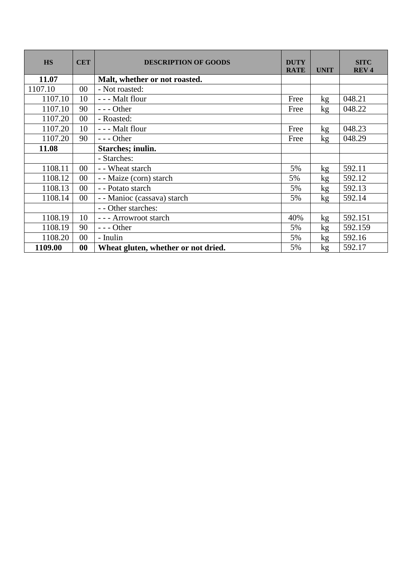| <b>HS</b> | <b>CET</b> | <b>DESCRIPTION OF GOODS</b>         | <b>DUTY</b> |             | <b>SITC</b> |
|-----------|------------|-------------------------------------|-------------|-------------|-------------|
| 11.07     |            | Malt, whether or not roasted.       | <b>RATE</b> | <b>UNIT</b> | <b>REV4</b> |
| 1107.10   | $00\,$     | - Not roasted:                      |             |             |             |
| 1107.10   | 10         | - - - Malt flour                    | Free        | kg          | 048.21      |
| 1107.10   | 90         | $--$ Other                          | Free        | kg          | 048.22      |
| 1107.20   | $00\,$     | - Roasted:                          |             |             |             |
| 1107.20   | 10         | - - - Malt flour                    | Free        | kg          | 048.23      |
| 1107.20   | 90         | $--$ Other                          | Free        | kg          | 048.29      |
| 11.08     |            | <b>Starches</b> ; inulin.           |             |             |             |
|           |            | - Starches:                         |             |             |             |
| 1108.11   | $00\,$     | - - Wheat starch                    | 5%          | kg          | 592.11      |
| 1108.12   | $00\,$     | - - Maize (corn) starch             | 5%          | kg          | 592.12      |
| 1108.13   | $00\,$     | - - Potato starch                   | 5%          | kg          | 592.13      |
| 1108.14   | $00\,$     | - - Manioc (cassava) starch         | 5%          | kg          | 592.14      |
|           |            | - - Other starches:                 |             |             |             |
| 1108.19   | 10         | --- Arrowroot starch                | 40%         | kg          | 592.151     |
| 1108.19   | 90         | $--$ Other                          | 5%          | kg          | 592.159     |
| 1108.20   | $00\,$     | - Inulin                            | 5%          | kg          | 592.16      |
| 1109.00   | $\bf{00}$  | Wheat gluten, whether or not dried. | 5%          | kg          | 592.17      |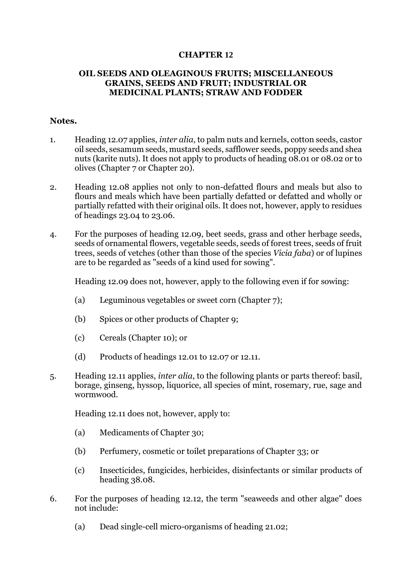### **OIL SEEDS AND OLEAGINOUS FRUITS; MISCELLANEOUS GRAINS, SEEDS AND FRUIT; INDUSTRIAL OR MEDICINAL PLANTS; STRAW AND FODDER**

#### **Notes.**

- 1. Heading 12.07 applies, *inter alia*, to palm nuts and kernels, cotton seeds, castor oil seeds, sesamum seeds, mustard seeds, safflower seeds, poppy seeds and shea nuts (karite nuts). It does not apply to products of heading 08.01 or 08.02 or to olives (Chapter 7 or Chapter 20).
- 2. Heading 12.08 applies not only to non-defatted flours and meals but also to flours and meals which have been partially defatted or defatted and wholly or partially refatted with their original oils. It does not, however, apply to residues of headings 23.04 to 23.06.
- 4. For the purposes of heading 12.09, beet seeds, grass and other herbage seeds, seeds of ornamental flowers, vegetable seeds, seeds of forest trees, seeds of fruit trees, seeds of vetches (other than those of the species *Vicia faba*) or of lupines are to be regarded as "seeds of a kind used for sowing".

Heading 12.09 does not, however, apply to the following even if for sowing:

- (a) Leguminous vegetables or sweet corn (Chapter 7);
- (b) Spices or other products of Chapter 9;
- (c) Cereals (Chapter 10); or
- (d) Products of headings 12.01 to 12.07 or 12.11.
- 5. Heading 12.11 applies, *inter alia*, to the following plants or parts thereof: basil, borage, ginseng, hyssop, liquorice, all species of mint, rosemary, rue, sage and wormwood.

Heading 12.11 does not, however, apply to:

- (a) Medicaments of Chapter 30;
- (b) Perfumery, cosmetic or toilet preparations of Chapter 33; or
- (c) Insecticides, fungicides, herbicides, disinfectants or similar products of heading 38.08.
- 6. For the purposes of heading 12.12, the term "seaweeds and other algae" does not include:
	- (a) Dead single-cell micro-organisms of heading 21.02;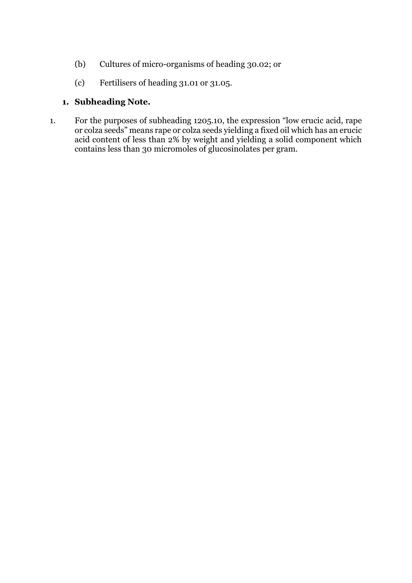- (b) Cultures of micro-organisms of heading 30.02; or
- (c) Fertilisers of heading 31.01 or 31.05.

# **1. Subheading Note.**

1. For the purposes of subheading 1205.10, the expression "low erucic acid, rape or colza seeds" means rape or colza seeds yielding a fixed oil which has an erucic acid content of less than 2% by weight and yielding a solid component which contains less than 30 micromoles of glucosinolates per gram.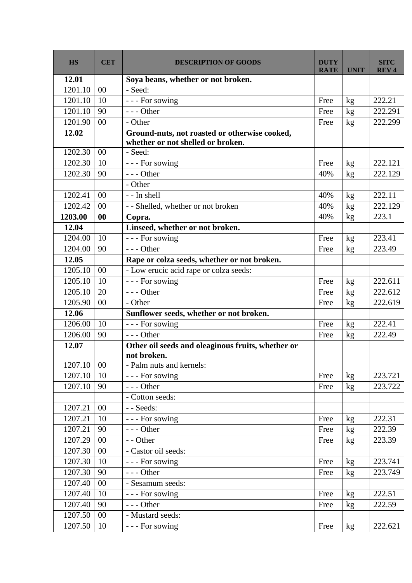| <b>HS</b> | <b>CET</b> | <b>DESCRIPTION OF GOODS</b>                                                        | <b>DUTY</b><br><b>RATE</b> | <b>UNIT</b> | <b>SITC</b><br><b>REV4</b> |
|-----------|------------|------------------------------------------------------------------------------------|----------------------------|-------------|----------------------------|
| 12.01     |            | Soya beans, whether or not broken.                                                 |                            |             |                            |
| 1201.10   | 00         | - Seed:                                                                            |                            |             |                            |
| 1201.10   | 10         | --- For sowing                                                                     | Free                       | kg          | 222.21                     |
| 1201.10   | 90         | $--$ Other                                                                         | Free                       | kg          | 222.291                    |
| 1201.90   | 00         | - Other                                                                            | Free                       | kg          | 222.299                    |
| 12.02     |            | Ground-nuts, not roasted or otherwise cooked,<br>whether or not shelled or broken. |                            |             |                            |
| 1202.30   | 00         | - Seed:                                                                            |                            |             |                            |
| 1202.30   | 10         | --- For sowing                                                                     | Free                       | kg          | 222.121                    |
| 1202.30   | 90         | $--$ Other                                                                         | 40%                        | kg          | 222.129                    |
|           |            | - Other                                                                            |                            |             |                            |
| 1202.41   | 00         | - - In shell                                                                       | 40%                        | kg          | 222.11                     |
| 1202.42   | 00         | - - Shelled, whether or not broken                                                 | 40%                        | kg          | 222.129                    |
| 1203.00   | 00         | Copra.                                                                             | 40%                        | kg          | 223.1                      |
| 12.04     |            | Linseed, whether or not broken.                                                    |                            |             |                            |
| 1204.00   | 10         | --- For sowing                                                                     | Free                       | kg          | 223.41                     |
| 1204.00   | 90         | $--$ Other                                                                         | Free                       | kg          | 223.49                     |
| 12.05     |            | Rape or colza seeds, whether or not broken.                                        |                            |             |                            |
| 1205.10   | 00         | - Low erucic acid rape or colza seeds:                                             |                            |             |                            |
| 1205.10   | 10         | --- For sowing                                                                     | Free                       | kg          | 222.611                    |
| 1205.10   | 20         | $--$ Other                                                                         | Free                       | kg          | 222.612                    |
| 1205.90   | 00         | - Other                                                                            | Free                       | kg          | 222.619                    |
| 12.06     |            | Sunflower seeds, whether or not broken.                                            |                            |             |                            |
| 1206.00   | 10         | --- For sowing                                                                     | Free                       | kg          | 222.41                     |
| 1206.00   | 90         | $--$ Other                                                                         | Free                       | kg          | 222.49                     |
| 12.07     |            | Other oil seeds and oleaginous fruits, whether or<br>not broken.                   |                            |             |                            |
| 1207.10   | 00         | - Palm nuts and kernels:                                                           |                            |             |                            |
| 1207.10   | 10         | - - - For sowing                                                                   | Free                       | kg          | 223.721                    |
| 1207.10   | 90         | --- Other                                                                          | Free                       | kg          | 223.722                    |
|           |            | - Cotton seeds:                                                                    |                            |             |                            |
| 1207.21   | 00         | - - Seeds:                                                                         |                            |             |                            |
| 1207.21   | 10         | --- For sowing                                                                     | Free                       | kg          | 222.31                     |
| 1207.21   | 90         | $--$ Other                                                                         | Free                       | kg          | 222.39                     |
| 1207.29   | 00         | - - Other                                                                          | Free                       | kg          | 223.39                     |
| 1207.30   | $00\,$     | - Castor oil seeds:                                                                |                            |             |                            |
| 1207.30   | 10         | --- For sowing                                                                     | Free                       | kg          | 223.741                    |
| 1207.30   | 90         | $--- Other$                                                                        | Free                       | kg          | 223.749                    |
| 1207.40   | $00\,$     | - Sesamum seeds:                                                                   |                            |             |                            |
| 1207.40   | 10         | --- For sowing                                                                     | Free                       | kg          | 222.51                     |
| 1207.40   | 90         | $--$ Other                                                                         | Free                       | kg          | 222.59                     |
| 1207.50   | 00         | - Mustard seeds:                                                                   |                            |             |                            |
| 1207.50   | 10         | --- For sowing                                                                     | Free                       | kg          | 222.621                    |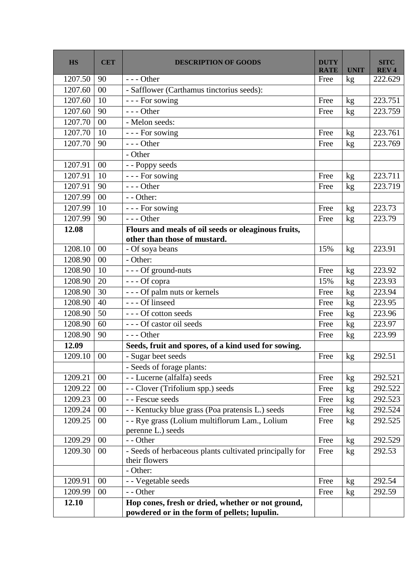| <b>HS</b> | <b>CET</b> | <b>DESCRIPTION OF GOODS</b>                                                                       | <b>DUTY</b><br><b>RATE</b> | <b>UNIT</b> | <b>SITC</b><br><b>REV4</b> |
|-----------|------------|---------------------------------------------------------------------------------------------------|----------------------------|-------------|----------------------------|
| 1207.50   | 90         | $--$ Other                                                                                        | Free                       | kg          | 222.629                    |
| 1207.60   | 00         | - Safflower (Carthamus tinctorius seeds):                                                         |                            |             |                            |
| 1207.60   | 10         | --- For sowing                                                                                    | Free                       | kg          | 223.751                    |
| 1207.60   | 90         | $--$ Other                                                                                        | Free                       | kg          | 223.759                    |
| 1207.70   | 00         | - Melon seeds:                                                                                    |                            |             |                            |
| 1207.70   | 10         | --- For sowing                                                                                    | Free                       | kg          | 223.761                    |
| 1207.70   | 90         | $--$ Other                                                                                        | Free                       | kg          | 223.769                    |
|           |            | - Other                                                                                           |                            |             |                            |
| 1207.91   | 00         | - - Poppy seeds                                                                                   |                            |             |                            |
| 1207.91   | 10         | --- For sowing                                                                                    | Free                       | kg          | 223.711                    |
| 1207.91   | 90         | $--$ Other                                                                                        | Free                       | kg          | 223.719                    |
| 1207.99   | 00         | - - Other:                                                                                        |                            |             |                            |
| 1207.99   | 10         | --- For sowing                                                                                    | Free                       | kg          | 223.73                     |
| 1207.99   | 90         | $--$ Other                                                                                        | Free                       | kg          | 223.79                     |
| 12.08     |            | Flours and meals of oil seeds or oleaginous fruits,                                               |                            |             |                            |
|           |            | other than those of mustard.                                                                      |                            |             |                            |
| 1208.10   | 00         | - Of soya beans                                                                                   | 15%                        | kg          | 223.91                     |
| 1208.90   | 00         | - Other:                                                                                          |                            |             |                            |
| 1208.90   | 10         | - - - Of ground-nuts                                                                              | Free                       | kg          | 223.92                     |
| 1208.90   | 20         | --- Of copra                                                                                      | 15%                        | kg          | 223.93                     |
| 1208.90   | 30         | --- Of palm nuts or kernels                                                                       | Free                       | kg          | 223.94                     |
| 1208.90   | 40         | --- Of linseed                                                                                    | Free                       | kg          | 223.95                     |
| 1208.90   | 50         | --- Of cotton seeds                                                                               | Free                       | kg          | 223.96                     |
| 1208.90   | 60         | --- Of castor oil seeds                                                                           | Free                       | kg          | 223.97                     |
| 1208.90   | 90         | $--$ Other                                                                                        | Free                       | kg          | 223.99                     |
| 12.09     |            | Seeds, fruit and spores, of a kind used for sowing.                                               |                            |             |                            |
| 1209.10   | 00         | - Sugar beet seeds                                                                                | Free                       | kg          | 292.51                     |
|           |            | - Seeds of forage plants:                                                                         |                            |             |                            |
| 1209.21   | $00\,$     | - - Lucerne (alfalfa) seeds                                                                       | Free                       | kg          | 292.521                    |
| 1209.22   | $00\,$     | - - Clover (Trifolium spp.) seeds                                                                 | Free                       | kg          | 292.522                    |
| 1209.23   | 00         | - - Fescue seeds                                                                                  | Free                       | kg          | 292.523                    |
| 1209.24   | 00         | - - Kentucky blue grass (Poa pratensis L.) seeds                                                  | Free                       | kg          | 292.524                    |
| 1209.25   | $00\,$     | - - Rye grass (Lolium multiflorum Lam., Lolium<br>perenne L.) seeds                               | Free                       | kg          | 292.525                    |
| 1209.29   | $00\,$     | - - Other                                                                                         | Free                       | kg          | 292.529                    |
| 1209.30   | $00\,$     | - Seeds of herbaceous plants cultivated principally for<br>their flowers                          | Free                       | kg          | 292.53                     |
|           |            | - Other:                                                                                          |                            |             |                            |
| 1209.91   | 00         | - - Vegetable seeds                                                                               | Free                       | kg          | 292.54                     |
| 1209.99   | $00\,$     | - - Other                                                                                         | Free                       | kg          | 292.59                     |
| 12.10     |            | Hop cones, fresh or dried, whether or not ground,<br>powdered or in the form of pellets; lupulin. |                            |             |                            |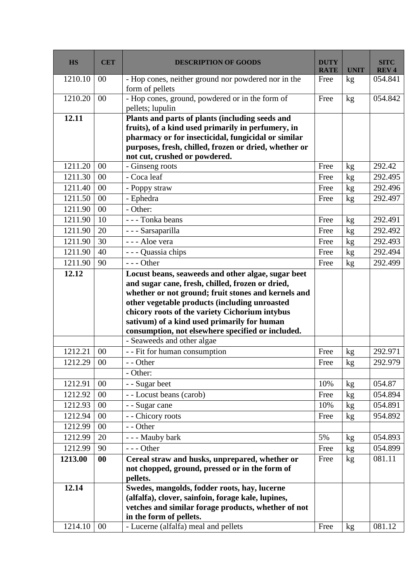| <b>HS</b> | <b>CET</b> | <b>DESCRIPTION OF GOODS</b>                                                                      | <b>DUTY</b><br><b>RATE</b> | <b>UNIT</b> | <b>SITC</b><br><b>REV4</b> |
|-----------|------------|--------------------------------------------------------------------------------------------------|----------------------------|-------------|----------------------------|
| 1210.10   | 00         | - Hop cones, neither ground nor powdered nor in the<br>form of pellets                           | Free                       | kg          | 054.841                    |
| 1210.20   | 00         | - Hop cones, ground, powdered or in the form of<br>pellets; lupulin                              | Free                       | kg          | 054.842                    |
| 12.11     |            | Plants and parts of plants (including seeds and                                                  |                            |             |                            |
|           |            | fruits), of a kind used primarily in perfumery, in                                               |                            |             |                            |
|           |            | pharmacy or for insecticidal, fungicidal or similar                                              |                            |             |                            |
|           |            | purposes, fresh, chilled, frozen or dried, whether or                                            |                            |             |                            |
|           |            | not cut, crushed or powdered.                                                                    |                            |             |                            |
| 1211.20   | 00         | - Ginseng roots                                                                                  | Free                       | kg          | 292.42                     |
| 1211.30   | 00         | - Coca leaf                                                                                      | Free                       | kg          | 292.495                    |
| 1211.40   | 00         | - Poppy straw                                                                                    | Free                       | kg          | 292.496                    |
| 1211.50   | 00         | - Ephedra                                                                                        | Free                       | kg          | 292.497                    |
| 1211.90   | 00         | - Other:                                                                                         |                            |             |                            |
| 1211.90   | 10         | - - - Tonka beans                                                                                | Free                       | kg          | 292.491                    |
| 1211.90   | 20         | - - - Sarsaparilla                                                                               | Free                       | kg          | 292.492                    |
| 1211.90   | 30         | - - - Aloe vera                                                                                  | Free                       | kg          | 292.493                    |
| 1211.90   | 40         | - - - Quassia chips                                                                              | Free                       | kg          | 292.494                    |
| 1211.90   | 90         | $--$ Other                                                                                       | Free                       | kg          | 292.499                    |
| 12.12     |            | Locust beans, seaweeds and other algae, sugar beet                                               |                            |             |                            |
|           |            | and sugar cane, fresh, chilled, frozen or dried,                                                 |                            |             |                            |
|           |            | whether or not ground; fruit stones and kernels and                                              |                            |             |                            |
|           |            | other vegetable products (including unroasted                                                    |                            |             |                            |
|           |            | chicory roots of the variety Cichorium intybus                                                   |                            |             |                            |
|           |            | sativum) of a kind used primarily for human<br>consumption, not elsewhere specified or included. |                            |             |                            |
|           |            | - Seaweeds and other algae                                                                       |                            |             |                            |
| 1212.21   | 00         | - - Fit for human consumption                                                                    | Free                       | kg          | 292.971                    |
| 1212.29   | 00         | - - Other                                                                                        | Free                       | kg          | 292.979                    |
|           |            | - Other:                                                                                         |                            |             |                            |
| 1212.91   | $00\,$     | - - Sugar beet                                                                                   | 10%                        | kg          | 054.87                     |
| 1212.92   | $00\,$     | - - Locust beans (carob)                                                                         | Free                       |             | 054.894                    |
| 1212.93   | $00\,$     | - - Sugar cane                                                                                   | 10%                        | kg<br>kg    | 054.891                    |
| 1212.94   | $00\,$     | - - Chicory roots                                                                                | Free                       | kg          | 954.892                    |
| 1212.99   | $00\,$     | - - Other                                                                                        |                            |             |                            |
| 1212.99   |            |                                                                                                  | 5%                         |             | 054.893                    |
|           | 20<br>90   | - - - Mauby bark<br>$--$ Other                                                                   |                            | kg          | 054.899                    |
| 1212.99   |            |                                                                                                  | Free                       | kg          |                            |
| 1213.00   | $\bf{00}$  | Cereal straw and husks, unprepared, whether or<br>not chopped, ground, pressed or in the form of | Free                       | kg          | 081.11                     |
|           |            | pellets.                                                                                         |                            |             |                            |
| 12.14     |            | Swedes, mangolds, fodder roots, hay, lucerne                                                     |                            |             |                            |
|           |            | (alfalfa), clover, sainfoin, forage kale, lupines,                                               |                            |             |                            |
|           |            | vetches and similar forage products, whether of not                                              |                            |             |                            |
|           |            | in the form of pellets.                                                                          |                            |             |                            |
| 1214.10   | $00\,$     | - Lucerne (alfalfa) meal and pellets                                                             | Free                       | kg          | 081.12                     |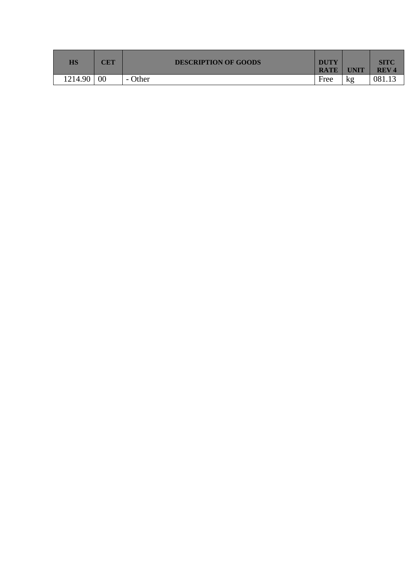| <b>HS</b> | חיםי<br>- 21 | <b>DESCRIPTION OF GOODS</b>       | <b>DUTY</b><br><b>RATE</b> | <b>UNIT</b> | SITC<br>REV 4 |
|-----------|--------------|-----------------------------------|----------------------------|-------------|---------------|
| 1214.90   | 00           | Other<br>$\overline{\phantom{0}}$ | Free                       | kg          | 081.13        |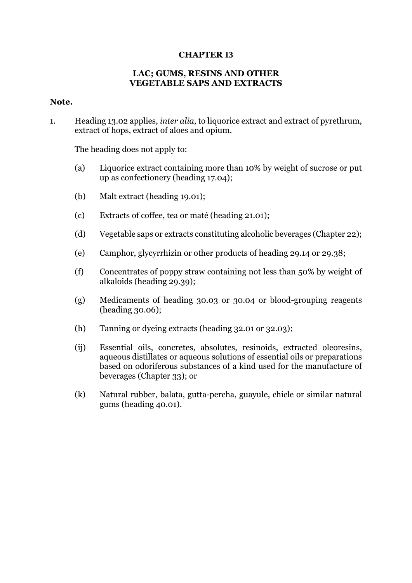## **LAC; GUMS, RESINS AND OTHER VEGETABLE SAPS AND EXTRACTS**

#### **Note.**

1. Heading 13.02 applies, *inter alia*, to liquorice extract and extract of pyrethrum, extract of hops, extract of aloes and opium.

The heading does not apply to:

- (a) Liquorice extract containing more than 10% by weight of sucrose or put up as confectionery (heading 17.04);
- (b) Malt extract (heading 19.01);
- (c) Extracts of coffee, tea or maté (heading 21.01);
- (d) Vegetable saps or extracts constituting alcoholic beverages (Chapter 22);
- (e) Camphor, glycyrrhizin or other products of heading 29.14 or 29.38;
- (f) Concentrates of poppy straw containing not less than 50% by weight of alkaloids (heading 29.39);
- (g) Medicaments of heading 30.03 or 30.04 or blood-grouping reagents (heading 30.06);
- (h) Tanning or dyeing extracts (heading 32.01 or 32.03);
- (ij) Essential oils, concretes, absolutes, resinoids, extracted oleoresins, aqueous distillates or aqueous solutions of essential oils or preparations based on odoriferous substances of a kind used for the manufacture of beverages (Chapter 33); or
- (k) Natural rubber, balata, gutta-percha, guayule, chicle or similar natural gums (heading 40.01).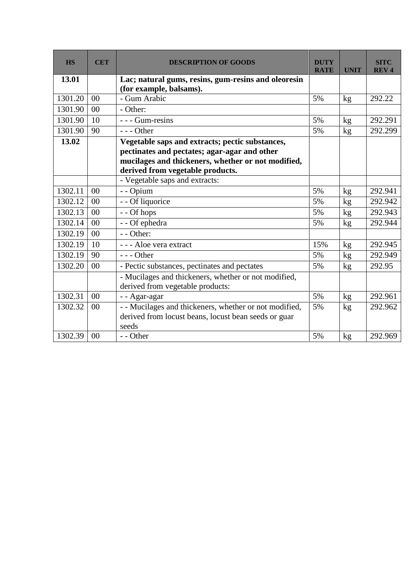| <b>HS</b> | <b>CET</b>     | <b>DESCRIPTION OF GOODS</b>                                                                                                                                                               | DUTY<br><b>RATE</b> | <b>UNIT</b>     | <b>SITC</b><br><b>REV4</b> |
|-----------|----------------|-------------------------------------------------------------------------------------------------------------------------------------------------------------------------------------------|---------------------|-----------------|----------------------------|
| 13.01     |                | Lac; natural gums, resins, gum-resins and oleoresin<br>(for example, balsams).                                                                                                            |                     |                 |                            |
| 1301.20   | 0 <sup>0</sup> | - Gum Arabic                                                                                                                                                                              | 5%                  | kg              | 292.22                     |
| 1301.90   | 00             | - Other:                                                                                                                                                                                  |                     |                 |                            |
| 1301.90   | 10             | - - - Gum-resins                                                                                                                                                                          | 5%                  | kg              | 292.291                    |
| 1301.90   | 90             | $- -$ Other                                                                                                                                                                               | 5%                  | kg              | 292.299                    |
| 13.02     |                | Vegetable saps and extracts; pectic substances,<br>pectinates and pectates; agar-agar and other<br>mucilages and thickeners, whether or not modified,<br>derived from vegetable products. |                     |                 |                            |
|           |                | - Vegetable saps and extracts:                                                                                                                                                            |                     |                 |                            |
| 1302.11   | 00             | - - Opium                                                                                                                                                                                 | 5%                  | kg              | 292.941                    |
| 1302.12   | 00             | - - Of liquorice                                                                                                                                                                          | 5%                  | kg              | 292.942                    |
| 1302.13   | 00             | - - Of hops                                                                                                                                                                               | 5%                  | kg              | 292.943                    |
| 1302.14   | $00\,$         | - - Of ephedra                                                                                                                                                                            | 5%                  | kg <sub>2</sub> | 292.944                    |
| 1302.19   | 00             | $-$ - Other:                                                                                                                                                                              |                     |                 |                            |
| 1302.19   | 10             | --- Aloe vera extract                                                                                                                                                                     | 15%                 | kg              | 292.945                    |
| 1302.19   | 90             | $- -$ Other                                                                                                                                                                               | 5%                  | kg              | 292.949                    |
| 1302.20   | 00             | - Pectic substances, pectinates and pectates                                                                                                                                              | 5%                  | kg              | 292.95                     |
|           |                | - Mucilages and thickeners, whether or not modified,<br>derived from vegetable products:                                                                                                  |                     |                 |                            |
| 1302.31   | 00             | - - Agar-agar                                                                                                                                                                             | 5%                  | kg              | 292.961                    |
| 1302.32   | $00\,$         | - - Mucilages and thickeners, whether or not modified,<br>derived from locust beans, locust bean seeds or guar<br>seeds                                                                   | 5%                  | kg              | 292.962                    |
| 1302.39   | $00\,$         | - - Other                                                                                                                                                                                 | 5%                  | kg              | 292.969                    |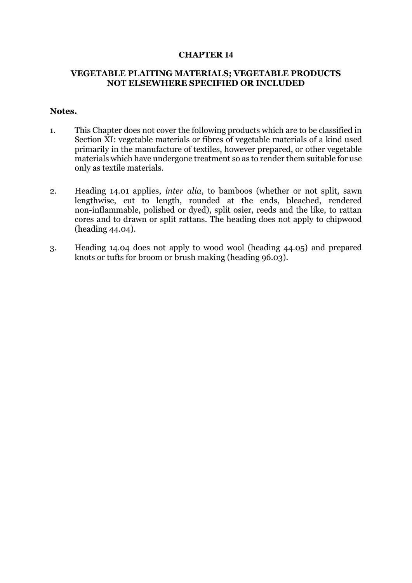## **VEGETABLE PLAITING MATERIALS; VEGETABLE PRODUCTS NOT ELSEWHERE SPECIFIED OR INCLUDED**

- 1. This Chapter does not cover the following products which are to be classified in Section XI: vegetable materials or fibres of vegetable materials of a kind used primarily in the manufacture of textiles, however prepared, or other vegetable materials which have undergone treatment so as to render them suitable for use only as textile materials.
- 2. Heading 14.01 applies, *inter alia*, to bamboos (whether or not split, sawn lengthwise, cut to length, rounded at the ends, bleached, rendered non-inflammable, polished or dyed), split osier, reeds and the like, to rattan cores and to drawn or split rattans. The heading does not apply to chipwood (heading 44.04).
- 3. Heading 14.04 does not apply to wood wool (heading 44.05) and prepared knots or tufts for broom or brush making (heading 96.03).